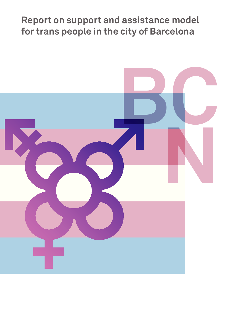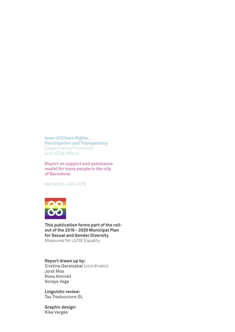**Area of Citizen Rights, Participation and Transparency** Department of Feminism and LGTBI Affairs

**Report on support and assistance model for trans people in the city of Barcelona**

Barcelona, April 2016



**This publication forms part of the rollout of the 2016 - 2020 Municipal Plan for Sexual and Gender Diversity** Measures for LGTBI Equality

**Report drawn up by:** Cristina Garaizabal (coordinator) Jordi Mas Rosa Almirall Soraya Vega

**Linguistic review:** Tau Traduccions SL

**Graphic design:** Kike Vergés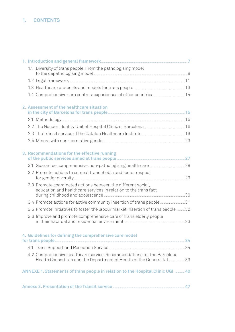# **1. CONTENTS**

| 1.1 Diversity of trans people. From the pathologising model                                                                                                       |  |
|-------------------------------------------------------------------------------------------------------------------------------------------------------------------|--|
|                                                                                                                                                                   |  |
|                                                                                                                                                                   |  |
|                                                                                                                                                                   |  |
| 2. Assessment of the healthcare situation                                                                                                                         |  |
|                                                                                                                                                                   |  |
|                                                                                                                                                                   |  |
|                                                                                                                                                                   |  |
|                                                                                                                                                                   |  |
| 3. Recommendations for the effective running                                                                                                                      |  |
|                                                                                                                                                                   |  |
|                                                                                                                                                                   |  |
| 3.2 Promote actions to combat transphobia and foster respect                                                                                                      |  |
| 3.3 Promote coordinated actions between the different social,<br>education and healthcare services in relation to the trans fact                                  |  |
|                                                                                                                                                                   |  |
| 32. Promote initiatives to foster the labour market insertion of trans people  32                                                                                 |  |
| 3.6 Improve and promote comprehensive care of trans elderly people<br>in their habitual and residential environment <b>manual container and their habitual</b> 33 |  |
| 4. Guidelines for defining the comprehensive care model                                                                                                           |  |
|                                                                                                                                                                   |  |
| 4.2 Comprehensive healthcare service. Recommendations for the Barcelona                                                                                           |  |
| Health Consortium and the Department of Health of the Generalitat39                                                                                               |  |
| 40 ANNEXE 1. Statements of trans people in relation to the Hospital Clinic UGI                                                                                    |  |
|                                                                                                                                                                   |  |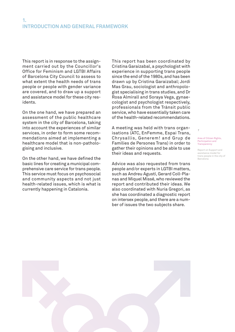This report is in response to the assignment carried out by the Councillor's Office for Feminism and LGTBI Affairs of Barcelona City Council to assess to what extent the health needs of trans people or people with gender variance are covered, and to draw up a support and assistance model for these city residents.

On the one hand, we have prepared an assessment of the public healthcare system in the city of Barcelona, taking into account the experiences of similar services, in order to form some recommendations aimed at implementing a healthcare model that is non-pathologising and inclusive.

On the other hand, we have defined the basic lines for creating a municipal comprehensive care service for trans people. This service must focus on psychosocial and community aspects and not just health-related issues, which is what is currently happening in Catalonia.

This report has been coordinated by Cristina Garaizabal, a psychologist with experience in supporting trans people since the end of the 1980s, and has been drawn up by Cristina Garaizabal; Jordi Mas Grau, sociologist and anthropologist specialising in trans studies, and Dr Rosa Almirall and Soraya Vega, gynaecologist and psychologist respectively, professionals from the Trànsit public service, who have essentially taken care of the health-related recommendations.

A meeting was held with trans organisations (ATC, EnFemme, Espai Trans, Chrysallis, Generem! and Grup de Famílies de Persones Trans) in order to gather their opinions and be able to use their ideas and requests.

Advice was also requested from trans people and/or experts in LGTBI matters, such as Andreu Agustí, Gerard Coll-Planas and Miquel Missé, who reviewed the report and contributed their ideas. We also coordinated with Nuria Gregori, as she has coordinated a diagnostic report on intersex people, and there are a number of issues the two subjects share.

Area of Citizen Rights, Participation and **Transparency** 

7

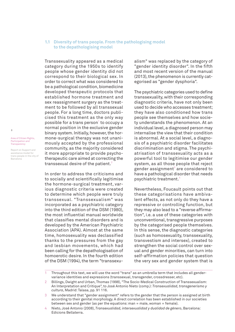# **1.1 Diversity of trans people. From the pathologising model to the depathologising model**

Transsexuality appeared as a medical category during the 1950s to identify people whose gender identity did not correspond to their biological sex. In order to correct what was considered to be a pathological condition, biomedicine developed therapeutic protocols that established hormone treatment and sex reassignment surgery as the treatment to be followed by all transsexual people. For a long time, doctors publicised this treatment as the only way possible for a trans person $^{\rm 1}$  to occupy a normal position in the exclusive gender binary system. Initially, however, the hormone-surgical therapy was not unanimously accepted by the professional community, as the majority considered it more appropriate to provide psychotherapeutic care aimed at correcting the transsexual desire of the patient.<sup>2</sup>

In order to address the criticisms and to socially and scientifically legitimise the hormone-surgical treatment, various diagnostic criteria were created to determine which people were truly transsexual. "Transsexualism" was incorporated as a psychiatric category into the third edition of the DSM (1980), the most influential manual worldwide that classifies mental disorders and is developed by the American Psychiatric Association (APA). Almost at the same time, homosexuality was declassified thanks to the pressures from the gay and lesbian movements, which had been calling for the depathologisation of homoerotic desire. In the fourth edition of the DSM (1994), the term "transsexualism" was replaced by the category of "gender identity disorder". In the fifth and most recent version of the manual (2013), the phenomenon is currently categorised as "gender dysphoria".

The psychiatric categories used to define transsexuality, with their corresponding diagnostic criteria, have not only been used to decide who accesses treatment; they have also conditioned how trans people see themselves and how society understands the phenomenon. At an individual level, a diagnosed person may internalise the view that their condition is abnormal. At a social level, a diagnosis of a psychiatric disorder facilitates discrimination and stigma. The psychiatrisation of transsexuality acts as a powerful tool to legitimise our gender system, as all those people that reject gender assignment $^{\rm 3}$  are considered to have a pathological disorder that needs psychiatric treatment.<sup>4</sup>

Nevertheless, Foucault points out that these categorisations have ambivalent effects, as not only do they have a repressive or controlling function, but they may also lead to a "reverse affirmation", i.e. a use of these categories with unconventional, transgressive purposes by the categorised people themselves. In this sense, the diagnostic categories (such as homosexuality, transsexuality, transvestism and intersex), created to strengthen the social control over sexual and gender minorities, can turn into self-affirmation policies that question the very sex and gender system that is

Area of Citizen Rights, Participation and Transparency

8

<sup>1</sup> Throughout this text, we will use the word "trans" as an umbrella term that includes all gendervariance identities and expressions (transsexual, transgender, crossdresser, etc).

<sup>2</sup> Billings, Dwight and Urban, Thomas (1998), "The Socio-Medical Construction of Transsexualism: An Interpretation and Critique", to José Antonio Nieto (comp.): *Transexualidad, transgenerismo y cultura*, Madrid: Talasa, pp. 91 116.

We understand that "gender assignment" refers to the gender that the person is assigned at birth according to their genital morphology. A direct correlation has been established in our societies between sex and gender (as per the equations: man = male, woman = female).

<sup>4</sup> Nieto, José Antonio (2008), *Transexualidad, intersexualidad y dualidad de género*, Barcelona: Edicions Bellaterra.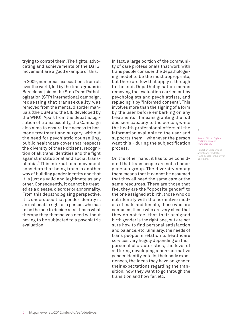trying to control them. The fights, advocating and achievements of the LGTBI movement are a good example of this.

In 2009, numerous associations from all over the world, led by the trans groups in Barcelona, joined the Stop Trans Pathologization (STP) international campaign, requesting that transsexuality was removed from the mental disorder manuals (the DSM and the CIE developed by the WHO). Apart from the depathologisation of transsexuality, the Campaign also aims to ensure free access to hormone treatment and surgery, without the need for psychiatric counselling, public healthcare cover that respects the diversity of these citizens, recognition of all trans identities and the fight against institutional and social transphobia.<sup>5</sup> This international movement considers that being trans is another way of building gender identity and that it is just as valid and legitimate as any other. Consequently, it cannot be treated as a disease, disorder or abnormality. From this depathologising perspective, it is understood that gender identity is an inalienable right of a person, who has to be the one to decide at all times what therapy they themselves need without having to be subjected to a psychiatric evaluation.

In fact, a large portion of the community of care professionals that work with trans people consider the depathologising model to be the most appropriate, but there are few that apply it through to the end. Depathologisation means removing the evaluation carried out by psychologists and psychiatrists, and replacing it by "informed consent". This involves more than the signing of a form by the user before embarking on any treatments: it means granting the full decision capacity to the person, while the health professional offers all the information available to the user and supports them - whenever the person want this - during the subjectification process.

On the other hand, it has to be considered that trans people are not a homogeneous group. The diversity among them means that it cannot be assumed that they all need the same care or the same resources. There are those that feel they are the "opposite gender" to the one assigned at birth, those who do not identify with the normative models of male and female, those who are confused, those who are very clear that they do not feel that their assigned birth gender is the right one, but are not sure how to find personal satisfaction and balance, etc. Similarly, the needs of trans people in relation to healthcare services vary hugely depending on their personal characteristics, the level of suffering developing a non-normative gender identity entails, their body experiences, the ideas they have on gender, their expectations regarding the transition, how they want to go through the transition and how far, etc.

Area of Citizen Rights, Participation and Transparency

 $\alpha$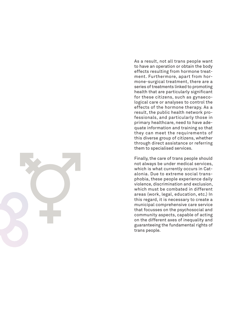

As a result, not all trans people want to have an operation or obtain the body effects resulting from hormone treatment. Furthermore, apart from hormone-surgical treatment, there are a series of treatments linked to promoting health that are particularly significant for these citizens, such as gynaecological care or analyses to control the effects of the hormone therapy. As a result, the public health network professionals, and particularly those in primary healthcare, need to have adequate information and training so that they can meet the requirements of this diverse group of citizens, whether through direct assistance or referring them to specialised services.

Finally, the care of trans people should not always be under medical services, which is what currently occurs in Catalonia. Due to extreme social transphobia, these people experience daily violence, discrimination and exclusion, which must be combated in different areas (work, legal, education, etc.) In this regard, it is necessary to create a municipal comprehensive care service that focusses on the psychosocial and community aspects, capable of acting on the different axes of inequality and guaranteeing the fundamental rights of trans people.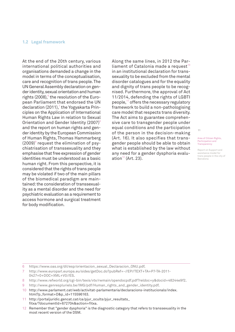# **1.2 Legal framework**

At the end of the 20th century, various international political authorities and organisations demanded a change in the model in terms of the conceptualisation, care and recognition of trans people. The UN General Assembly declaration on gender identity, sexual orientation and human rights (2008),<sup>6</sup> the resolution of the European Parliament that endorsed the UN declaration (2011), $^7$  the Yogyakarta Principles on the Application of International Human Rights Law in relation to Sexual Orientation and Gender Identity (2007)<sup>8</sup> and the report on human rights and gender identity by the European Commission of Human Rights, Thomas Hammarberg  $(2009)^9$  request the elimination of psychiatrisation of transsexuality and they emphasise that free expression of gender identities must be understood as a basic human right. From this perspective, it is considered that the rights of trans people may be violated if two of the main pillars of the biomedical paradigm are maintained: the consideration of transsexuality as a mental disorder and the need for psychiatric evaluation as a requirement to access hormone and surgical treatment for body modification.

Along the same lines, in 2012 the Parliament of Catalonia made a request $10$ in an institutional declaration for transsexuality to be excluded from the mental disorder catalogues and for the equality and dignity of trans people to be recognised. Furthermore, the approval of Act 11/2014, defending the rights of LGBTI people, $<sup>11</sup>$  offers the necessary regulatory</sup> framework to build a non-pathologising care model that respects trans diversity. The Act aims to guarantee comprehensive care to transgender people under equal conditions and the participation of the person in the decision-making (Art. 16). It also specifies that transgender people should be able to obtain what is established by the law without any need for a gender dysphoria evaluation $12$  (Art. 23).

11

#### Area of Citizen Rights, Participation and Transparency

- 6 https://www.oas.org/dil/esp/orientacion\_sexual\_Declaracion\_ONU.pdf.
- 7 http://www.europarl.europa.eu/sides/getDoc.do?pubRef=-//EP//TEXT+TA+P7-TA-2011- 0427+0+DOC+XML+V0//ES.
- 8 http://www.refworld.org/cgi-bin/texis/vtx/rwmain/opendocpdf.pdf?reldoc=y&docid=48244e9f2.
- 9 http://www.genrespluriels.be/IMG/pdf/Human\_rights\_and\_gender\_identity.pdf.
- 10 http://www.parlament.cat/web/activitat-parlamentaria/declaracions-institucionals/index. html?p\_format=D&p\_id=115596163.
- 11 http://portaljuridic.gencat.cat/ca/pjur\_ocults/pjur\_resultats\_ fitxa/?documentId=672704&action=fitxa.
- 12 Remember that "gender dysphoria" is the diagnostic category that refers to transsexuality in the most recent version of the DSM.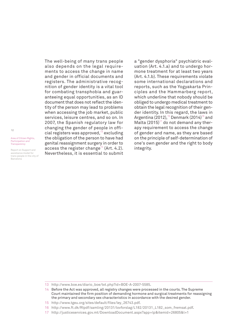The well-being of many trans people also depends on the legal requirements to access the change in name and gender in official documents and registers. The administrative recognition of gender identity is a vital tool for combating transphobia and guaranteeing equal opportunities, as an ID document that does not reflect the identity of the person may lead to problems when accessing the job market, public services, leisure centres, and so on. In 2007, the Spanish regulatory law for changing the gender of people in official registers was approved, $13$  excluding the obligation of the person to have had genital reassignment surgery in order to access the register change<sup>14</sup> (Art. 4.2). Nevertheless, it is essential to submit

a "gender dysphoria" psychiatric evaluation (Art. 4.1.a) and to undergo hormone treatment for at least two years (Art. 4.1.b). These requirements violate some international declarations and reports, such as the Yogyakarta Principles and the Hammarberg report, which underline that nobody should be obliged to undergo medical treatment to obtain the legal recognition of their gender identity. In this regard, the laws in Argentina (2012),<sup>15</sup> Denmark (2014)<sup>16</sup> and Malta  $(2015)^{17}$  do not demand any therapy requirement to access the change of gender and name, as they are based on the principle of self-determination of one's own gender and the right to body integrity.

12

<sup>13</sup> http://www.boe.es/diario\_boe/txt.php?id=BOE-A-2007-5585.

<sup>14</sup> Before the Act was approved, all registry changes were processed in the courts. The Supreme Court maintained the firm position of demanding hormone and surgical treatments for reassigning the primary and secondary sex characteristics in accordance with the desired gender.

<sup>15</sup> http://www.tgeu.org/sites/default/files/ley\_26743.pdf.

<sup>16</sup> http://www.ft.dk/RIpdf/samling/20131/lovforslag/L182/20131\_L182\_som\_fremsat.pdf.

<sup>17</sup> http://justiceservices.gov.mt/DownloadDocument.aspx?app=lp&itemid=26805&l=1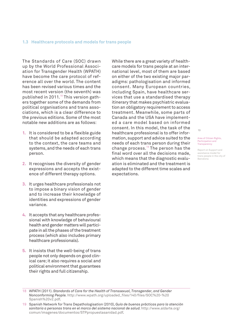The Standards of Care (SOC) drawn up by the World Professional Association for Transgender Health (WPATH) have become the care protocol of reference all over the world. The content has been revised various times and the most recent version (the seventh) was published in 2011.<sup>18</sup> This version gathers together some of the demands from political organisations and trans associations, which is a clear difference to the previous editions. Some of the most notable new additions are as follows:

- **1.** It is considered to be a flexible guide that should be adapted according to the context, the care teams and systems, and the needs of each trans person.
- **2.** It recognises the diversity of gender expressions and accepts the existence of different therapy options.
- **3.** It urges healthcare professionals not to impose a binary vision of gender and to increase their knowledge of identities and expressions of gender variance.
- **4.** It accepts that any healthcare professional with knowledge of behavioural health and gender matters will participate in all the phases of the treatment process (which also includes primary healthcare professionals).
- **5.** It insists that the well-being of trans people not only depends on good clinical care; it also requires a social and political environment that guarantees their rights and full citizenship.

While there are a great variety of healthcare models for trans people at an international level, most of them are based on either of the two existing major paradigms: pathologisation and informed consent. Many European countries, including Spain, have healthcare services that use a standardised therapy itinerary that makes psychiatric evaluation an obligatory requirement to access treatment. Meanwhile, some parts of Canada and the USA have implemented a care model based on informed consent. In this model, the task of the healthcare professional is to offer information, support and advice suited to the needs of each trans person during their change process.<sup>19</sup> The person has the final word over all the decisions made, which means that the diagnostic evaluation is eliminated and the treatment is adapted to the different time scales and expectations.

13

#### Area of Citizen Rights, Participation and Transparency

<sup>18</sup> WPATH (2011). *Standards of Care for the Health of Transsexual, Transgender, and Gender Nonconforming People.* http://www.wpath.org/uploaded\_files/140/files/SOC%20-%20 Spanish%20v2.pdf.

<sup>19</sup> Spanish Network for Trans Depathologisation (2010), *Guía de buenas prácticas para la atención*  sanitaria a personas trans en el marco del sistema nacional de salud. http://www.aldarte.org/ comun/imagenes/documentos/STPpropuestasanidad.pdf.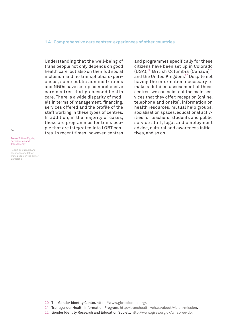### **1.4 Comprehensive care centres: experiences of other countries**

Understanding that the well-being of trans people not only depends on good health care, but also on their full social inclusion and no transphobia experiences, some public administrations and NGOs have set up comprehensive care centres that go beyond health care. There is a wide disparity of models in terms of management, financing, services offered and the profile of the staff working in these types of centres. In addition, in the majority of cases, these are programmes for trans people that are integrated into LGBT centres. In recent times, however, centres and programmes specifically for these citizens have been set up in Colorado  $(USA).<sup>20</sup>$  British Columbia  $(Canada)<sup>21</sup>$ and the United Kingdom.<sup>22</sup> Despite not having the information necessary to make a detailed assessment of these centres, we can point out the main services that they offer: reception (online, telephone and onsite), information on health resources, mutual help groups, socialisation spaces, educational activities for teachers, students and public service staff, legal and employment advice, cultural and awareness initiatives, and so on.

14

Area of Citizen Rights, Participation and Transparency

<sup>20</sup> The Gender Identity Center. https://www.gic-colorado.org/.

<sup>21</sup> Transgender Health Information Program. http://transhealth.vch.ca/about/vision-mission.

<sup>22</sup> Gender Identity Research and Education Society. http://www.gires.org.uk/what-we-do.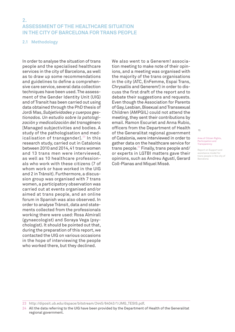# **2. ASSESSMENT OF THE HEALTHCARE SITUATION IN THE CITY OF BARCELONA FOR TRANS PEOPLE**

# **2.1 Methodology**

In order to analyse the situation of trans people and the specialised healthcare services in the city of Barcelona, as well as to draw up some recommendations and guidelines to define a comprehensive care service, several data collection techniques have been used. The assessment of the Gender Identity Unit (UIG) and of Transit has been carried out using data obtained through the PhD thesis of Jordi Mas, *Subjetividades y cuerpos gestionados. Un estudio sobre la patologización y medicalización del transgénero* [Managed subjectivities and bodies. A study of the pathologisation and medicalisation of transgender]. $^{23}$  In this research study, carried out in Catalonia between 2010 and 2014, 41 trans women and 13 trans men were interviewed, as well as 10 healthcare professionals who work with these citizens (7 of whom work or have worked in the UIG and 2 in Trànsit). Furthermore, a discussion group was organised with 7 trans women, a participatory observation was carried out at events organised and/or aimed at trans people, and an online forum in Spanish was also observed. In order to analyse Trànsit, data and statements collected from the professionals working there were used: Rosa Almirall (gynaecologist) and Soraya Vega (psychologist). It should be pointed out that, during the preparation of this report, we contacted the UIG on various occasions in the hope of interviewing the people who worked there, but they declined.

We also went to a Generem! association meeting to make note of their opinions, and a meeting was organised with the majority of the trans organisations in the city (ATC, EnFemme, Espai Trans, Chrysallis and Generem!) in order to discuss the first draft of the report and to debate their suggestions and requests. Even though the Association for Parents of Gay, Lesbian, Bisexual and Transsexual Children (AMPGIL) could not attend the meeting, they sent their contributions by email. Ramon Escuriet and Anna Rubio, officers from the Department of Health of the Generalitat regional government of Catalonia, were interviewed in order to gather data on the healthcare service for trans people.<sup>24</sup> Finally, trans people and/ or experts in LGTBI matters gave their opinions, such as Andreu Agustí, Gerard Coll-Planas and Miquel Missé.

15

#### Area of Citizen Rights, Participation and Transparency

<sup>23</sup> http://diposit.ub.edu/dspace/bitstream/2445/64043/1/JMG\_TESIS.pdf.

<sup>24</sup> All the data referring to the UIG have been provided by the Department of Health of the Generalitat regional government.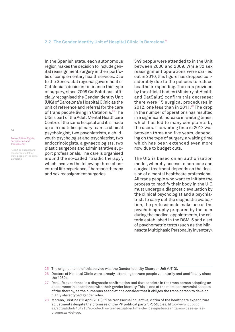# **2.2 The Gender Identity Unit of Hospital Clínic in Barcelona**<sup>25</sup>

In the Spanish state, each autonomous region makes the decision to include genital reassignment surgery in their portfolio of complementary health services. Due to the Generalitat regional government of Catalonia's decision to finance this type of surgery, since 2008 CatSalut has officially recognised the Gender Identity Unit (UIG) of Barcelona's Hospital Clínic as the unit of reference and referral for the care of trans people living in Catalonia.<sup>26</sup> The UIG is part of the Adult Mental Healthcare Centre of the same hospital and it is made up of a multidisciplinary team: a clinical psychologist, two psychiatrists, a childyouth psychologist and psychiatrist, two endocrinologists, a gynaecologists, two plastic surgeons and administrative support professionals. The care is organised around the so-called "triadic therapy", which involves the following three phases: real life experience, $^{27}$  hormone therapy and sex reassignment surgeries.

16

Area of Citizen Rights, Participation and Transparency

Report on Support and assistance model for trans people in the city of Barcelona

549 people were attended to in the Unit between 2000 and 2009. While 32 sex reassignment operations were carried out in 2010, this figure has dropped considerably due to the policies to reduce healthcare spending. The data provided by the official bodies (Ministry of Health and CatSalut) confirm this decrease: there were 15 surgical procedures in 2012, one less than in  $2011.^{28}$  The drop in the number of operations has resulted in a significant increase in waiting times, which has led to many complaints by the users. The waiting time in 2012 was between three and five years, depending on the type of surgery, a waiting time which has been extended even more now due to budget cuts.

The UIG is based on an authorisation model, whereby access to hormone and surgical treatment depends on the decision of a mental healthcare professional. All trans people who want to initiate the process to modify their body in the UIG must undergo a diagnostic evaluation by the clinical psychologist and a psychiatrist. To carry out the diagnostic evaluation, the professionals make use of the psychobiography prepared by the user during the medical appointments, the criteria established in the DSM-5 and a set of psychometric tests (such as the Minnesota Multiphasic Personality Inventory).

25 The original name of this service was the Gender Identity Disorder Unit (UTIG).

28 Moreno, Cristina (23 April 2013): "The transsexual collective, victim of the healthcare expenditure adjustments despite the promises of the PP political party". *Público.es.* http://www.publico. es/actualidad/454215/el-colectivo-transexual-victima-de-los-ajustes-sanitarios-pese-a-laspromesas-del-pp.

<sup>26</sup> Doctors of Hospital Clínic were already attending to trans people voluntarily and unofficially since the 1980s.

<sup>27</sup> Real life experience is a diagnostic confirmation tool that consists in the trans person adopting an appearance in accordance with their gender identity. This is one of the most controversial aspects of the therapy, as the numerous associations consider that it obliges the trans person to develop highly stereotyped gender roles.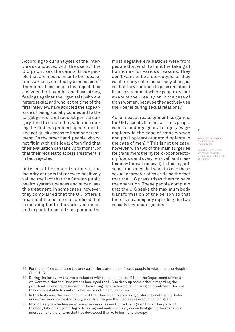According to our analyses of the interviews conducted with the users. $^{29}$  the UIG prioritises the care of those people that are most similar to the ideal of transsexuality created by biomedicine.<sup>30</sup> Therefore, those people that reject their assigned birth gender and have strong feelings against their genitals, who are heterosexual and who, at the time of the first interview, have adopted the appearance of being socially connected to the target gender and request genital surgery, tend to obtain the evaluation during the first two protocol appointments and get quick access to hormone treatment. On the other hand, people who do not fit in with this ideal often find that their evaluation can take up to month, or that their request to access treatment is in fact rejected.

In terms of hormone treatment, the majority of users interviewed positively valued the fact that the Catalan public health system finances and supervises this treatment. In some cases, however, they complained that the UIG offers a treatment that is too standardised that is not adapted to the variety of needs and expectations of trans people. The most negative evaluations were from people that wish to limit the taking of hormones for various reasons: they don't want to be a stereotype, or they want to carry out minimal body changes, so that they continue to pass unnoticed in an environment where people are not aware of their reality, or, in the case of trans women, because they actively use their penis during sexual relations. $3$ 

As for sexual reassignment surgeries, the UIG accepts that not all trans people want to undergo genital surgery (vaginoplasty in the case of trans women and phalloplasty or metoidioplasty in the case of men). $32$  This is not the case, however, with two of the main surgeries for trans men: the hystero-oophorectomy (uterus and ovary removal) and mastectomy (breast removal). In this regard, some trans men that want to keep these sexual characteristics criticise the fact that the UIG pressurises them to have the operation. These people complain that the UIG seeks the maximum body transformation of the person so that there is no ambiguity regarding the two socially legitimate genders.

 $17$ 

#### Area of Citizen Rights, Participation and Transparency

Report on Support and assistance model for trans people in the city of Barcelona

29 For more information, see the annexe on the statements of trans people in relation to the Hospital Clínic UIG.

- 30 During the interview that we conducted with the technical staff from the Department of Health, we were told that the Department has urged the UIG to draw up some criteria regarding the prioritisation and management of the waiting lists for hormone and surgical treatment. However, they were not able to confirm whether or not it had been drawn up.
- 31 In this last case, the main component that they want to avoid is cyproterone acetate (marketed under the brand name Androcur), an anti-androgen that decreases erection and orgasm.
- 32 Phalloplasty is a technique where a neopenis is constructed using skin from other parts of the body (abdomen, groin, leg or forearm) and metoidioplasty consists of giving the shape of a micropenis to the clitoris that has developed thanks to hormone therapy.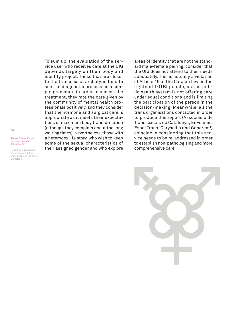To sum up, the evaluation of the service user who receives care at the UIG depends largely on their body and identity project. Those that are closer to the transsexual archetype tend to see the diagnostic process as a simple procedure in order to access the treatment, they rate the care given by the community of mental health professionals positively, and they consider that the hormone and surgical care is appropriate as it meets their expectations of maximum body transformation (although they complain about the long waiting times). Nevertheless, those with a heterodox life story, who wish to keep some of the sexual characteristics of their assigned gender and who explore

areas of identity that are not the standard male-female pairing, consider that the UIG does not attend to their needs adequately. This is actually a violation of Article 16 of the Catalan law on the rights of LGTBI people, as the public health system is not offering care under equal conditions and is limiting the participation of the person in the decision-making. Meanwhile, all the trans organisations contacted in order to produce this report (Associació de Transsexuals de Catalunya, EnFemme, Espai Trans, Chrysallis and Generem!) coincide in considering that this service needs to be re-addressed in order to establish non-pathologising and more comprehensive care.

Area of Citizen Rights, Participation and **Transparency** 

18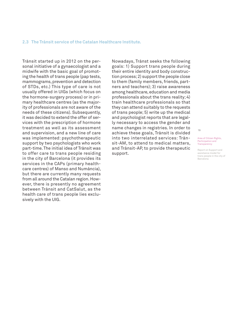# **2.3 The Trànsit service of the Catalan Healthcare Institute.**

Trànsit started up in 2012 on the personal initiative of a gynaecologist and a midwife with the basic goal of promoting the health of trans people (pap tests, mammograms, prevention and detection of STDs, etc.) This type of care is not usually offered in UIGs (which focus on the hormone-surgery process) or in primary healthcare centres (as the majority of professionals are not aware of the needs of these citizens). Subsequently, it was decided to extend the offer of services with the prescription of hormone treatment as well as its assessment and supervision, and a new line of care was implemented: psychotherapeutic support by two psychologists who work part-time. The initial idea of Trànsit was to offer care to trans people residing in the city of Barcelona (it provides its services in the CAPs (primary healthcare centres) of Manso and Numància), but there are currently many requests from all around the Catalan region. However, there is presently no agreement between Trànsit and CatSalut, as the health care of trans people lies exclusively with the UIG.

Nowadays, Trànst seeks the following goals: 1) Support trans people during their entire identity and body construction process; 2) support the people close to them (family members, friends, partners and teachers); 3) raise awareness among healthcare, education and media professionals about the trans reality; 4) train healthcare professionals so that they can attend suitably to the requests of trans people; 5) write up the medical and psychologist reports that are legally necessary to access the gender and name changes in registries. In order to achieve these goals, Trànsit is divided into two interrelated services: Trànsit-AM, to attend to medical matters, and Trànsit-AP, to provide therapeutic support.

19

#### Area of Citizen Rights, Participation and Transparency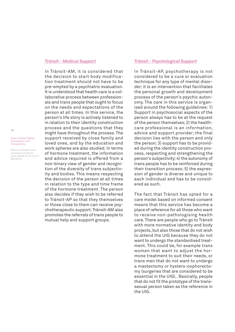### *Trànsit - Medical Support*

In Trànsit-AM, it is considered that the decision to start body modification treatment should not have to be pre-empted by a psychiatric evaluation. It is understood that health care is a collaborative process between professionals and trans people that ought to focus on the needs and expectations of the person at all times. In this service, the person's life story is actively listened to in relation to their identity construction process and the questions that they might have throughout the process. The support received by close family and loved ones, and by the education and work spheres are also studied. In terms of hormone treatment, the information and advice required is offered from a non-binary view of gender and recognition of the diversity of trans subjectivity and bodies. This means respecting the decision of the person at all times in relation to the type and time frame of the hormone treatment. The person also decides if they wish to be referred to Trànsit-AP so that they themselves or those close to them can receive psychotherapeutic support. Trànsit-AM also promotes the referrals of trans people to mutual help and support groups.

### *Trànsit - Psychological Support*

In Trànsit-AP, psychotherapy is not considered to be a cure or evaluation technique for any type of mental disorder; it is an intervention that facilitates the personal growth and development process of the person's psychic autonomy. The care in this service is organised around the following guidelines: 1) Support in psychosocial aspects of the person always has to be at the request of the person themselves; 2) the healthcare professional is an information, advice and support provider; the final decision lies with the person and only the person; 3) support has to be provided during the identity construction process, respecting and strengthening the person's subjectivity; 4) the autonomy of trans people has to be reinforced during their transition process; 5) the expression of gender is diverse and unique to each individual and has to be considered as such.

The fact that Trànsit has opted for a care model based on informed consent means that this service has become a place of reference for all those who want to receive non-pathologising health care. There are people who go to Trànsit with more normative identity and body projects, but also those that do not wish to attend the UIG because they do not want to undergo the standardised treatment. This could be, for example trans women that want to adjust the hormone treatment to suit their needs, or trans men that do not want to undergo a mastectomy or hystero-oophorectomy (surgeries that are considered to be essential in the UIG).. Basically, people that do not fit the prototype of the transsexual person taken as the reference in the UIG.

 $20$ 

Area of Citizen Rights, Participation and **Transparency**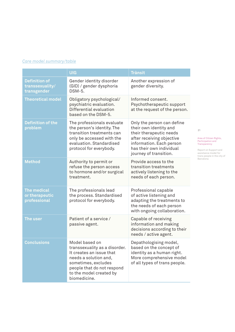# *Care model summary/table*

|                                                        | <b>UIG</b>                                                                                                                                                                                                                 | <b>Trànsit</b>                                                                                                                                                                                 |  |
|--------------------------------------------------------|----------------------------------------------------------------------------------------------------------------------------------------------------------------------------------------------------------------------------|------------------------------------------------------------------------------------------------------------------------------------------------------------------------------------------------|--|
| <b>Definition of</b><br>transsexuality/<br>transgender | Gender identity disorder<br>(GID) / gender dysphoria<br><b>DSM-5.</b>                                                                                                                                                      | Another expression of<br>gender diversity.                                                                                                                                                     |  |
| <b>Theoretical model</b>                               | Obligatory psychological/<br>psychiatric evaluation.<br>Differential evaluation<br>based on the DSM-5.                                                                                                                     | Informed consent.<br>Psychotherapeutic support<br>at the request of the person.                                                                                                                |  |
| <b>Definition of the</b><br>problem                    | The professionals evaluate<br>the person's identity. The<br>transition treatments can<br>only be accessed with the<br>evaluation. Standardised<br>protocol for everybody.                                                  | Only the person can define<br>their own identity and<br>their therapeutic needs<br>after receiving objective<br>information. Each person<br>has their own individual<br>journey of transition. |  |
| <b>Method</b>                                          | Authority to permit or<br>refuse the person access<br>to hormone and/or surgical<br>treatment.                                                                                                                             | Provide access to the<br>transition treatments<br>actively listening to the<br>needs of each person.                                                                                           |  |
| <b>The medical</b><br>or therapeutic<br>professional   | The professionals lead<br>Professional capable<br>the process. Standardised<br>of active listening and<br>protocol for everybody.<br>adapting the treatments to<br>the needs of each person<br>with ongoing collaboration. |                                                                                                                                                                                                |  |
| The user                                               | Patient of a service /<br>passive agent.                                                                                                                                                                                   | Capable of receiving<br>information and making<br>decisions according to their<br>needs / active agent.                                                                                        |  |
| <b>Conclusions</b>                                     | Model based on<br>transsexuality as a disorder.<br>It creates an issue that<br>needs a solution and,<br>sometimes, excludes<br>people that do not respond<br>to the model created by<br>biomedicine.                       | Depathologising model,<br>based on the concept of<br>identity as a human right.<br>More comprehensive model<br>of all types of trans people.                                                   |  |

### 21

Area of Citizen Rights,<br>Participation and<br>Transparency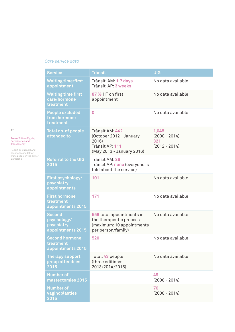# *Care service data*

| <b>Service</b>                                                  | <b>Trànsit</b>                                                                                          | <b>UIG</b>                                         |
|-----------------------------------------------------------------|---------------------------------------------------------------------------------------------------------|----------------------------------------------------|
| <b>Waiting time/first</b><br>appointment                        | Trànsit-AM: 1-7 days<br>Trànsit-AP: 3 weeks                                                             | No data available                                  |
| <b>Waiting time first</b><br>care/hormone<br>treatment          | 87 % HT on first<br>appointment                                                                         | No data available                                  |
| <b>People excluded</b><br>from hormone<br>treatment             | $\mathbf 0$                                                                                             | No data available                                  |
| <b>Total no. of people</b><br>attended to                       | Trànsit AM: 442<br>(October 2012 - January<br>2016)<br>Trànsit AP: 111<br>(May 2013 - January 2016)     | 1,045<br>$(2000 - 2014)$<br>321<br>$(2012 - 2014)$ |
| <b>Referral to the UIG</b><br>2015                              | Trànsit AM: 26<br>Trànsit AP: none (everyone is<br>told about the service)                              |                                                    |
| First psychology/<br>psychiatry<br>appointments                 | 101                                                                                                     | No data available                                  |
| <b>First hormone</b><br>treatment<br>appointments 2015          | 171                                                                                                     | No data available                                  |
| <b>Second</b><br>psychology/<br>psychiatry<br>appointments 2015 | 558 total appointments in<br>the therapeutic process<br>(maximum: 10 appointments<br>per person/family) | No data available                                  |
| <b>Second hormone</b><br>treatment<br>appointments 2015         | 520                                                                                                     | No data available                                  |
| <b>Therapy support</b><br>group attendees<br>2015               | Total: 43 people<br>(three editions:<br>2013/2014/2015)                                                 | No data available                                  |
| <b>Number of</b><br>mastectomies 2015                           |                                                                                                         | 49<br>$(2008 - 2014)$                              |
| <b>Number of</b><br>vaginoplasties<br>2015                      |                                                                                                         | 70<br>$(2008 - 2014)$                              |

22

Area of Citizen Rights, Participation and Transparency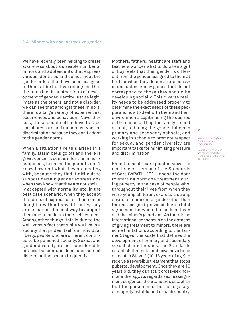# **2.4 Minors with non-normative gender**

We have recently been helping to create awareness about a sizeable number of minors and adolescents that express various identities and do not meet the gender orders that have been assigned to them at birth. If we recognise that the trans fact is another form of development of gender identity, just as legitimate as the others, and not a disorder, we can see that amongst these minors, there is a large variety of experiences, occurrences and behaviours. Nevertheless, these people often have to face social pressure and numerous types of discrimination because they don't adapt to the gender norms.

When a situation like this arises in a family, alarm bells go off and there is great concern: concern for the minor's happiness, because the parents don't know how and what they are dealing with, because they find it difficult to support certain gender expressions when they know that they are not socially accepted with normality, etc. In the best case scenario, when they accept the forms of expression of their son or daughter without any difficulty, they are unsure of the best way to support them and to build up their self-esteem. Among other things, this is due to the well-known fact that while we live in a society that prides itself on individual liberty, people who are different continue to be punished socially. Sexual and gender diversity are not considered to be social assets, and direct and indirect discrimination occurs frequently.

Mothers, fathers, healthcare staff and teachers wonder what to do when a girl or boy feels that their gender is different from the gender assigned to them at birth or when they demonstrate behaviours, tastes or play games that do not correspond to those they should be developing socially. This diverse reality needs to be addressed properly to determine the exact needs of these people and how to deal with them and their environment. Legitimising the desires of the minor, putting the family's mind at rest, reducing the gender labels in primary and secondary schools, and working in schools to promote respect for sexual and gender diversity are important tasks for minimising pressure and discrimination.

From the healthcare point of view, the most recent version of the Standards of Care (WPATH, 2011) opens the door to starting hormone treatment during puberty in the case of people who, throughout their lives from when they were young children, express a strong desire to represent a gender other than the one assigned, provided there is total agreement between the medical team and the minor's guardians. As there is no international consensus on the aptness of giving treatment to minors, there are some limitations according to the Tanner Stages, the scale that defines the development of primary and secondary sexual characteristics. The Standards establish that girls and boys have to be at least in Stage 2 (10-13 years of age) to receive a reversible treatment that stops pubertal development. Once they are 16 years old, they can start cross-sex hormone therapy. As regards sex reassignment surgeries, the Standards establish that the person must be the legal age of majority established in each country.

 $23$ 

#### Area of Citizen Rights, Participation and Transparency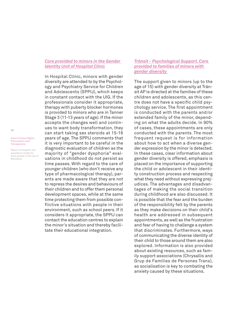# *Care provided to minors in the Gender Identity Unit of Hospital Clínic*

In Hospital Clínic, minors with gender diversity are attended to by the Psychology and Psychiatry Service for Children and Adolescents (SPPIJ), which keeps in constant contact with the UIG. If the professionals consider it appropriate, therapy with puberty blocker hormones is provided to minors who are in Tanner Stage 3 (11-13 years of age). If the minor accepts the changes well and continues to want body transformation, they can start taking sex steroids at 15-16 years of age. The SPPIJ comments that it is very important to be careful in the diagnostic evaluation of children as the majority of "gender dysphoria" evaluations in childhood do not persist as time passes. With regard to the care of younger children (who don't receive any type of pharmacological therapy), parents are made aware that they are not to repress the desires and behaviours of their children and to offer them personal development spaces, while at the same time protecting them from possible conflictive situations with people in their environment, such as school peers. If it considers it appropriate, the SPPIJ can contact the education centres to explain the minor's situation and thereby facilitate their educational integration.

# *Trànsit - Psychological Support. Care provided to families of minors with gender diversity*

The support given to minors (up to the age of 15) with gender diversity at Trànsit AP is directed at the families of these children and adolescents, as this centre does not have a specific child psychology service. The first appointment is conducted with the parents and/or extended family of the minor, depending on what the adults decide. In 90% of cases, these appointments are only conducted with the parents. The most frequent request is for information about how to act when a diverse gender expression by the minor is detected. In these cases, clear information about gender diversity is offered, emphasis is placed on the importance of supporting the child or adolescent in their identity construction process and respecting what they need without expressing prejudices. The advantages and disadvantages of making the social transition during childhood are also discussed. It is possible that the fear and the burden of the responsibility felt by the parents as they make decisions on their child's health are addressed in subsequent appointments, as well as the frustration and fear of having to challenge a system that discriminates. Furthermore, ways of communicating the diverse identity of their child to those around them are also explored. Information is also provided about existing resources, such as family support associations (Chrysallis and Grup de Famílies de Persones Trans), as socialisation is key to combating the anxiety caused by these situations.

 $24$ 

Area of Citizen Rights, Participation and **Transparency**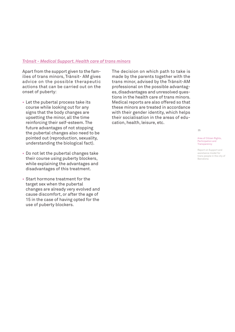# *Trànsit - Medical Support. Health care of trans minors*

Apart from the support given to the families of trans minors, Trànsit- AM gives advice on the possible therapeutic actions that can be carried out on the onset of puberty:

- Let the pubertal process take its course while looking out for any signs that the body changes are upsetting the minor, all the time reinforcing their self-esteem. The future advantages of not stopping the pubertal changes also need to be pointed out (reproduction, sexuality, understanding the biological fact).
- Do not let the pubertal changes take their course using puberty blockers, while explaining the advantages and disadvantages of this treatment.
- Start hormone treatment for the target sex when the pubertal changes are already very evolved and cause discomfort, or after the age of 15 in the case of having opted for the use of puberty blockers.

The decision on which path to take is made by the parents together with the trans minor, advised by the Trànsit-AM professional on the possible advantages, disadvantages and unresolved questions in the health care of trans minors. Medical reports are also offered so that these minors are treated in accordance with their gender identity, which helps their socialisation in the areas of education, health, leisure, etc.

25

Area of Citizen Rights, Participation and Transparency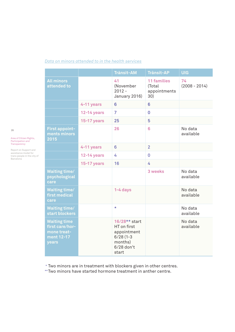# *Data on minors attended to in the health services*

|                                                                              |                    | <b>Trànsit-AM</b>                                                                            | <b>Trànsit-AP</b>                                   | <b>UIG</b>            |
|------------------------------------------------------------------------------|--------------------|----------------------------------------------------------------------------------------------|-----------------------------------------------------|-----------------------|
| <b>All minors</b><br>attended to                                             |                    | 41<br>(November<br>$2012 -$<br>January 2016)                                                 | <b>11 families</b><br>(Total<br>appointments<br>30) | 74<br>$(2008 - 2014)$ |
|                                                                              | 4-11 years         | 6                                                                                            | $6\phantom{1}$                                      |                       |
|                                                                              | <b>12-14 years</b> | $\overline{7}$                                                                               | $\overline{0}$                                      |                       |
|                                                                              | 15-17 years        | 25                                                                                           | 5                                                   |                       |
| <b>First appoint-</b><br>ments minors<br>2015                                |                    | 26                                                                                           | 6                                                   | No data<br>available  |
|                                                                              | 4-11 years         | 6                                                                                            | $\overline{2}$                                      |                       |
|                                                                              | <b>12-14 years</b> | 4                                                                                            | $\overline{0}$                                      |                       |
|                                                                              | <b>15-17 years</b> | 16                                                                                           | 4                                                   |                       |
| Waiting time/<br>psychological<br>care                                       |                    |                                                                                              | 3 weeks                                             | No data<br>available  |
| <b>Waiting time/</b><br>first medical<br>care                                |                    | 1-4 days                                                                                     |                                                     | No data<br>available  |
| Waiting time/<br>start blockers                                              |                    | $\star$                                                                                      |                                                     | No data<br>available  |
| <b>Waiting time</b><br>first care/hor-<br>mone treat-<br>ment 12-17<br>years |                    | 16/28** start<br>HT on first<br>appointment<br>$6/28(1-3)$<br>months)<br>6/28 don't<br>start |                                                     | No data<br>available  |

\* Two minors are in treatment with blockers given in other centres.

\*\* Two minors have started hormone treatment in anther centre.

26

Area of Citizen Rights, Participation and Transparency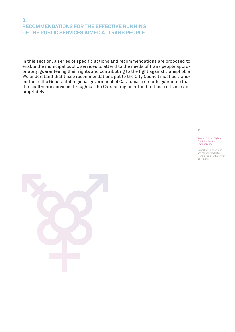# **3. RECOMMENDATIONS FOR THE EFFECTIVE RUNNING OF THE PUBLIC SERVICES AIMED AT TRANS PEOPLE**

In this section, a series of specific actions and recommendations are proposed to enable the municipal public services to attend to the needs of trans people appropriately, guaranteeing their rights and contributing to the fight against transphobia We understand that these recommendations put to the City Council must be transmitted to the Generalitat regional government of Catalonia in order to guarantee that the healthcare services throughout the Catalan region attend to these citizens appropriately.

27

Area of Citizen Rights, Participation and Transparency

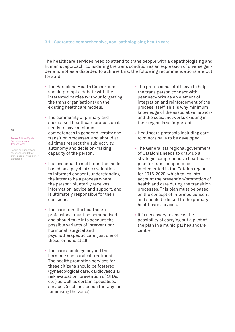### **3.1 Guarantee comprehensive, non-pathologising health care**

The healthcare services need to attend to trans people with a depathologising and humanist approach, considering the trans condition as an expression of diverse gender and not as a disorder. To achieve this, the following recommendations are put forward:

- The Barcelona Health Consortium should prompt a debate with the interested parties (without forgetting the trans organisations) on the existing healthcare models.
- The community of primary and specialised healthcare professionals needs to have minimum competences in gender diversity and transition processes, and should at all times respect the subjectivity, autonomy and decision-making capacity of the person.
- It is essential to shift from the model based on a psychiatric evaluation to informed consent, understanding the latter to be a process where the person voluntarily receives information, advice and support, and is ultimately responsible for their decisions.
- The care from the healthcare professional must be personalised and should take into account the possible variants of intervention: hormonal, surgical and psychotherapeutic care, just one of these, or none at all.
- The care should go beyond the hormone and surgical treatment. The health promotion services for these citizens should be fostered (gynaecological care, cardiovascular risk evaluation, prevention of STDs, etc.) as well as certain specialised services (such as speech therapy for feminising the voice).
- The professional staff have to help the trans person connect with peer networks as an element of integration and reinforcement of the process itself. This is why minimum knowledge of the associative network and the social networks existing in their region is so important.
- Healthcare protocols including care to minors have to be developed.
- The Generalitat regional government of Catalonia needs to draw up a strategic comprehensive healthcare plan for trans people to be implemented in the Catalan region for 2016-2020, which takes into account the prevention/promotion of health and care during the transition processes. This plan must be based on the concept of informed consent and should be linked to the primary healthcare services.
- It is necessary to assess the possibility of carrying out a pilot of the plan in a municipal healthcare centre.

Area of Citizen Rights,

 $28$ 

Participation and Transparency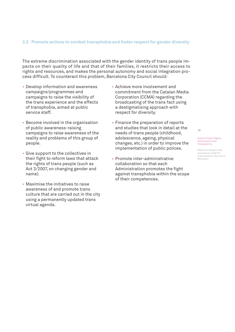# **3.2 Promote actions to combat transphobia and foster respect for gender diversity**

The extreme discrimination associated with the gender identity of trans people impacts on their quality of life and that of their families, it restricts their access to rights and resources, and makes the personal autonomy and social integration process difficult. To counteract this problem, Barcelona City Council should:

- Develop information and awareness campaigns/programmes and campaigns to raise the visibility of the trans experience and the effects of transphobia, aimed at public service staff.
- Become involved in the organisation of public awareness-raising campaigns to raise awareness of the reality and problems of this group of people.
- Give support to the collectives in their fight to reform laws that attack the rights of trans people (such as Act 3/2007, on changing gender and name).
- Maximise the initiatives to raise awareness of and promote trans culture that are carried out in the city using a permanently updated trans virtual agenda.
- Achieve more involvement and commitment from the Catalan Media Corporation (CCMA) regarding the broadcasting of the trans fact using a destigmatising approach with respect for diversity.
- Finance the preparation of reports and studies that look in detail at the needs of trans people (childhood, adolescence, ageing, physical changes, etc.) in order to improve the implementation of public polices.
- Promote inter-administrative collaboration so that each Administration promotes the fight against transphobia within the scope of their competences.

 $29$ 

#### Area of Citizen Rights, Participation and Transparency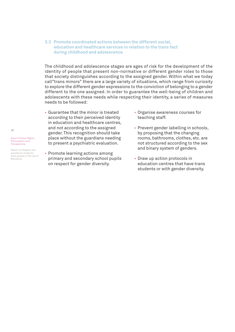# **3.3 Promote coordinated actions between the different social, education and healthcare services in relation to the trans fact during childhood and adolescence**

The childhood and adolescence stages are ages of risk for the development of the identity of people that present non-normative or different gender roles to those that society distinguishes according to the assigned gender. Within what we today call"trans minors" there are a large variety of situations, which range from curiosity to explore the different gender expressions to the conviction of belonging to a gender different to the one assigned. In order to guarantee the well-being of children and adolescents with these needs while respecting their identity, a series of measures needs to be followed:

- Guarantee that the minor is treated according to their perceived identity in education and healthcare centres, and not according to the assigned gender. This recognition should take place without the guardians needing to present a psychiatric evaluation.
- Promote learning actions among primary and secondary school pupils on respect for gender diversity.
- Organise awareness courses for teaching staff.
- Prevent gender labelling in schools, by proposing that the changing rooms, bathrooms, clothes, etc. are not structured according to the sex and binary system of genders.
- Draw up action protocols in education centres that have trans students or with gender diversity.

30

Area of Citizen Rights, Participation and Transparency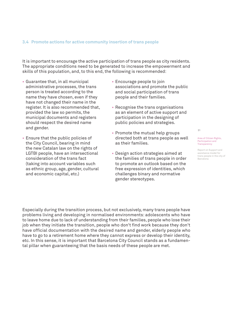# **3.4 Promote actions for active community insertion of trans people**

It is important to encourage the active participation of trans people as city residents. The appropriate conditions need to be generated to increase the empowerment and skills of this population, and, to this end, the following is recommended:

- Guarantee that, in all municipal administrative processes, the trans person is treated according to the name they have chosen, even if they have not changed their name in the register. It is also recommended that, provided the law so permits, the municipal documents and registers should respect the desired name and gender.
- Ensure that the public policies of the City Council, bearing in mind the new Catalan law on the rights of LGTBI people, have an intersectional consideration of the trans fact (taking into account variables such as ethnic group, age, gender, cultural and economic capital, etc.)
- Encourage people to join associations and promote the public and social participation of trans people and their families.
- Recognise the trans organisations as an element of active support and participation in the designing of public policies and strategies.
- Promote the mutual help groups directed both at trans people as well as their families.
- Design action strategies aimed at the families of trans people in order to promote an outlook based on the free expression of identities, which challenges binary and normative gender stereotypes.

31

#### Area of Citizen Rights, Participation and **Transparency**

Report on Support and assistance model for trans people in the city of Barcelona

Especially during the transition process, but not exclusively, many trans people have problems living and developing in normalised environments: adolescents who have to leave home due to lack of understanding from their families, people who lose their job when they initiate the transition, people who don't find work because they don't have official documentation with the desired name and gender, elderly people who have to go to a retirement home where they cannot express or develop their identity, etc. In this sense, it is important that Barcelona City Council stands as a fundamental pillar when guaranteeing that the basis needs of these people are met.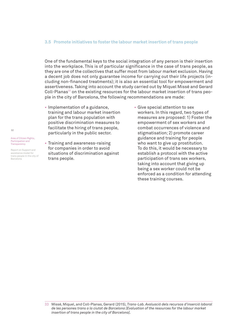# **3.5 Promote initiatives to foster the labour market insertion of trans people**

One of the fundamental keys to the social integration of any person is their insertion into the workplace. This is of particular significance in the case of trans people, as they are one of the collectives that suffer most from labour market exclusion. Having a decent job does not only guarantee income for carrying out their life projects (including non-financed treatments); it is also an essential tool for empowerment and assertiveness. Taking into account the study carried out by Miquel Missé and Gerard Coll-Planas<sup>33</sup> on the existing resources for the labour market insertion of trans people in the city of Barcelona, the following recommendations are made:

- Implementation of a guidance, training and labour market insertion plan for the trans population with positive discrimination measures to facilitate the hiring of trans people, particularly in the public sector.
- Training and awareness-raising for companies in order to avoid situations of discrimination against trans people.
- Give special attention to sex workers. In this regard, two types of measures are proposed: 1) Foster the empowerment of sex workers and combat occurrences of violence and stigmatisation; 2) promote career guidance and training for people who want to give up prostitution. To do this, it would be necessary to establish a protocol with the active participation of trans sex workers, taking into account that giving up being a sex worker could not be enforced as a condition for attending these training courses.

33 Missé, Miquel, and Coll-Planas, Gerard (2015), *Trans-Lab. Avaluació dels recursos d'inserció laboral de les persones trans a la ciutat de Barcelona [Evaluation of the resources for the labour market insertion of trans people in the city of Barcelona].*

32

Area of Citizen Rights, Participation and Transparency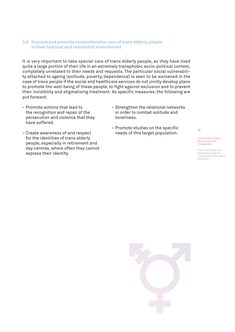# **3.6 Improve and promote comprehensive care of trans elderly people in their habitual and residential environment**

It is very important to take special care of trans elderly people, as they have lived quite a large portion of their life in an extremely transphobic socio-political context, completely unrelated to their needs and requests. The particular social vulnerability attached to ageing (solitude, poverty, dependence) is seen to be worsened in the case of trans people if the social and healthcare services do not jointly develop plans to promote the well-being of these people, to fight against exclusion and to prevent their invisibility and stigmatising treatment. As specific measures, the following are put forward:

- Promote actions that lead to the recognition and repair of the persecution and violence that they have suffered.
- Create awareness of and respect for the identities of trans elderly people, especially in retirement and day centres, where often they cannot express their identity.
- Strengthen the relational networks in order to combat solitude and loneliness.
- Promote studies on the specific needs of this target population.

#### 33

#### Area of Citizen Rights, Participation and Transparency

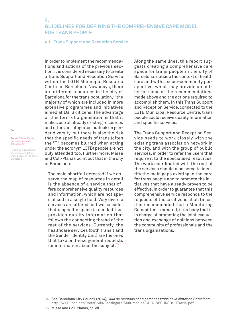# **4. GUIDELINES FOR DEFINING THE COMPREHENSIVE CARE MODEL FOR TRANS PEOPLE**

### **4.1 Trans Support and Reception Service**

In order to implement the recommendations and actions of the previous section, it is considered necessary to create a Trans Support and Reception Service within the LGTB Municipal Resource Centre of Barcelona. Nowadays, there are different resources in the city of Barcelona for the trans population, $34$  the majority of which are included in more extensive programmes and initiatives aimed at LGTB citizens. The advantage of this form of organisation is that it makes use of already existing resources and offers an integrated outlook on gender diversity, but there is also the risk that the specific needs of trans (often the "T" becomes blurred when acting under the acronym LGTB) people are not duly attended too. Furthermore, Missé and Coll-Planas point out that in the city of Barcelona:

The main shortfall detected if we observe the map of resources in detail is the absence of a service that offers comprehensive quality resources and information, which are not specialised in a single field. Very diverse services are offered, but we consider that a specific space is needed that provides quality information that follows the connecting thread of the rest of the services. Currently, the healthcare services (both Trànsit and the Gender Identity Unit) are the ones that take on these general requests for information about the subject. $35$ 

Along the same lines, this report suggests creating a comprehensive care space for trans people in the city of Barcelona, outside the context of health care and with a socio-community perspective, which may provide an outlet for some of the recommendations made above and the actions required to accomplish them. In this Trans Support and Reception Service, connected to the LGTB Municipal Resource Centre, trans people could receive quality information and specific services.

The Trans Support and Reception Service needs to work closely with the existing trans association network in the city, and with the group of public services, in order to refer the users that require it to the specialised resources. The work coordinated with the rest of the services should also serve to identify the main gaps existing in the care for trans people and to promote the initiatives that have already proven to be effective. In order to guarantee that this comprehensive service responds to the requests of these citizens at all times, it is recommended that a Monitoring Committee is created, i.e. a body that is in charge of promoting the joint evaluation and exchange of opinions between the community of professionals and the trans organisations.

34

Area of Citizen Rights, Participation and Transparency

<sup>34</sup> See Barcelona City Council (2014), *Guia de recursos per a persones trans de la ciutat de Barcelona*. http://w110.bcn.cat/DretsCivils/Continguts/Multimedies/GUIA\_RECURSOS\_TRANS.pdf.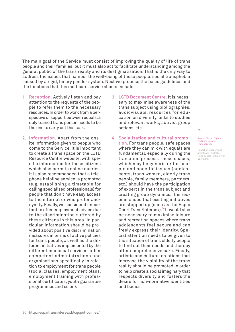The main goal of the Service must consist of improving the quality of life of trans people and their families, but it must also act to facilitate understanding among the general public of the trans reality and its destigmatisation. That is the only way to address the issues that hamper the well-being of these people: social transphobia caused by a rigid, binary gender system. Next we propose the basic guidelines and the functions that this multicare service should include:

- **1. Reception.** Actively listen and pay attention to the requests of the people to refer them to the necessary resources. In order to work from a perspective of support between equals, a duly trained trans person needs to be the one to carry out this task.
- **2. Information.** Apart from the onsite information given to people who come to the Service, it is important to create a trans space on the LGTB Resource Centre website, with specific information for these citizens which also permits online queries. It is also recommended that a telephone helpline service is promoted (e.g. establishing a timetable for calling specialised professionals) for people that don't have easy access to the internet or who prefer anonymity. Finally, we consider it important to offer employment advice due to the discrimination suffered by these citizens in this area. In particular, information should be provided about positive discrimination measures in terms of active policies for trans people, as well as the different initiatives implemented by the different municipal services, other competent administrations and organisations specifically in relation to employment for trans people (social clauses, employment plans, employment training with professional certificates, youth guarantee programmes and so on).
- **3. LGTB Document Centre.** It is necessary to maximise awareness of the trans subject using bibliographies, audiovisuals, resources for education on diversity, links to studies and relevant works, activist group actions, etc.
- **4. Socialisation and cultural promotion.** For trans people, safe spaces where they can mix with equals are fundamental, especially during the transition process. These spaces, which may be generic or for people and specific issues (adolescents, trans women, elderly trans people, family members, partners, etc.) should have the participation of experts in the trans subject and creating group dynamics. It is recommended that existing initiatives are stepped up (such as the Espai Obert Trans/Intersex).<sup>36</sup> It would also be necessary to maximise leisure and recreation spaces where trans adolescents feel secure and can freely express their identity. Special attention needs to be given to the situation of trans elderly people to find out their needs and thereby offer comprehensive care. Finally, artistic and cultural creations that increase the visibility of the trans reality should be promoted in order to help create a social imaginary that respects diversity and fosters the desire for non-normative identities and bodies.

35

Area of Citizen Rights, Participation and Transparency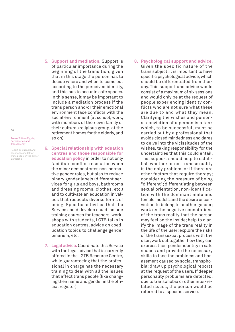- **5. Support and mediation.** Support is of particular importance during the beginning of the transition, given that in this stage the person has to decide where and when to come out according to the perceived identity, and this has to occur in safe spaces. In this sense, it may be important to include a mediation process if the trans person and/or their emotional environment face conflicts with the social environment (at school, work, with members of their own family or their cultural/religious group, at the retirement homes for the elderly, and so on).
- Area of Citizen Rights, Participation and Transparency

36

- **6. Special relationship with eduation centres and those responsible for education policy** in order to not only facilitate conflict resolution when the minor demonstrates non-normative gender roles, but also to reduce binary gender labels (different services for girls and boys, bathrooms and dressing rooms, clothes, etc.) and to cultivate an education in values that respects diverse forms of being. Specific activities that the Service could develop could include training courses for teachers, workshops with students, LGTB talks in education centres, advice on coeducation topics to challenge gender binarism, etc.
- **7. Legal advice.** Coordinate this Service with the legal advice that is currently offered in the LGTB Resource Centre, while guaranteeing that the professional in charge has the necessary training to deal with all the issues that affect trans people (like changing their name and gender in the official register).
- **8. Psychological support and advice.**  Given the specific nature of the trans subject, it is important to have specific psychological advice, which should be differentiated from therapy. This support and advice would consist of a maximum of six sessions and would only be at the request of people experiencing identity conflicts who are not sure what these are due to and what they mean. Clarifying the wishes and personal conviction of a person is a task which, to be successful, must be carried out by a professional that avoids closed mindedness and dares to delve into the vicissitudes of the wishes, taking responsibility for the uncertainties that this could entail. This support should help to establish whether or not transsexuality is the only problem, or if there are other factors that require therapy; considering the pressure of being "different"; differentiating between sexual orientation, non-identification with the dominant male and female models and the desire or conviction to belong to another gender; work on the negative connotations of the trans reality that the person may feel on the inside; help to clarify the image of the trans reality in the life of the user; explore the risks of the transsexual process with the user; work out together how they can express their gender identity in safe spaces and provide the necessary skills to face the problems and harassment caused by social transphobia; draw up psychological reports at the request of the users. If deeper personality problems are detected, due to transphobia or other inter-related issues, the person would be referred to a specific service.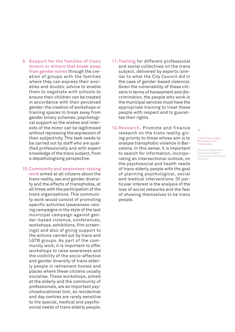**9. Support for the families of trans minors or minors that break away from gender norms** through the creation of groups with the families where they can express their anxieties and doubts; advice to enable them to negotiate with schools to ensure their children can be treated in accordance with their perceived gender; the creation of workshops or training spaces to break away from gender binary schemes; psychological support so the wishes and interests of the minor can be legitimised without repressing the expression of their subjectivity. This task needs to be carried out by staff who are qualified professionally and with expert knowledge of the trans subject, from a depathologising perspective.

## **10. Community and awareness-raising**

**work** aimed at all citizens about the trans reality, sex and gender diversity and the effects of transphobia, at all times with the participation of the trans organisations. This community work would consist of promoting specific activities (awareness-raising campaigns in the style of the last municipal campaign against gender-based violence, conferences, workshops, exhibitions, film screenings) and also of giving support to the actions carried out by trans and LGTB groups. As part of the community work, it is important to offer workshops to raise awareness and the visibility of the socio-affective and gender diversity of trans elderly people in retirement homes and places where these citizens usually socialise. These workshops, aimed at the elderly and the community of professionals, are an important psychoeducational tool, as residential and day centres are rarely sensitive to the special, medical and psychosocial needs of trans elderly people.

- **11. Training** for different professional and social collectives on the trans subject, delivered by experts (similar to what the City Council did in the case of gender-based violence). Given the vulnerability of these citizens in terms of harassment and discrimination, the people who work in the municipal services must have the appropriate training to treat these people with respect and to guarantee their rights.
- **12. Research.** Promote and finance research on the trans reality, giving priority to those whose aim is to analyse transphobic violence in Barcelona. In this sense, it is important to search for information, incorporating an intersectional outlook, on the psychosocial and health needs of trans elderly people with the goal of planning psychological, social and medical interventions. Of particular interest is the analysis of the loss of social networks and the fear of showing themselves to be trans people.

37

Area of Citizen Rights, Participation and Transparency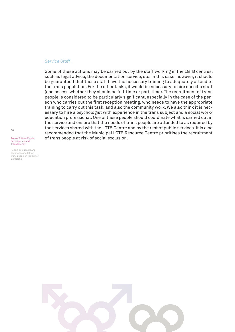## *Service Staff*

Some of these actions may be carried out by the staff working in the LGTB centres, such as legal advice, the documentation service, etc. In this case, however, it should be guaranteed that these staff have the necessary training to adequately attend to the trans population. For the other tasks, it would be necessary to hire specific staff (and assess whether they should be full-time or part-time). The recruitment of trans people is considered to be particularly significant, especially in the case of the person who carries out the first reception meeting, who needs to have the appropriate training to carry out this task, and also the community work. We also think it is necessary to hire a psychologist with experience in the trans subject and a social work/ education professional. One of these people should coordinate what is carried out in the service and ensure that the needs of trans people are attended to as required by the services shared with the LGTB Centre and by the rest of public services. It is also recommended that the Municipal LGTB Resource Centre prioritises the recruitment of trans people at risk of social exclusion.

Area of Citizen Rights, Participation and **Transparency** 

Report on Support and assistance model for trans people in the city of Barcelona



38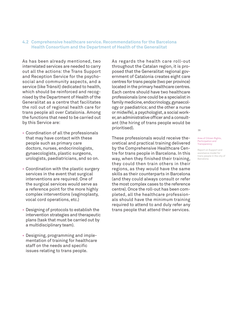# **4.2 Comprehensive healthcare service. Recommendations for the Barcelona Health Consortium and the Department of Health of the Generalitat**

As has been already mentioned, two interrelated services are needed to carry out all the actions: the Trans Support and Reception Service for the psychosocial and community aspects, and a service (like Trànsit) dedicated to health, which should be reinforced and recognised by the Department of Health of the Generalitat as a centre that facilitates the roll out of regional health care for trans people all over Catalonia. Among the functions that need to be carried out by this Service are:

- Coordination of all the professionals that may have contact with these people such as primary care doctors, nurses, endocrinologists, gynaecologists, plastic surgeons, urologists, paediatricians, and so on.
- Coordination with the plastic surgery services in the event that surgical interventions are required. One of the surgical services would serve as a reference point for the more highly complex interventions (vaginoplasty, vocal cord operations, etc.)
- Designing of protocols to establish the intervention strategies and therapeutic plans (task that must be carried out by a multidisciplinary team).
- Designing, programming and implementation of training for healthcare staff on the needs and specific issues relating to trans people.

As regards the health care roll-out throughout the Catalan region, it is proposed that the Generalitat regional government of Catalonia creates eight care centres for trans people (two per province) located in the primary healthcare centres. Each centre should have two healthcare professionals (one could be a specialist in family medicine, endocrinology, gynaecology or paediatrics; and the other a nurse or midwife), a psychologist, a social worker, an administrative officer and a consultant (the hiring of trans people would be prioritised).

These professionals would receive theoretical and practical training delivered by the Comprehensive Healthcare Centre for trans people in Barcelona. In this way, when they finished their training, they could then train others in their regions, as they would have the same skills as their counterparts in Barcelona (and they could always consult or refer the most complex cases to the reference centre). Once the roll-out has been completed, all the healthcare professionals should have the minimum training required to attend to and duly refer any trans people that attend their services.

39

### Area of Citizen Rights, Participation and Transparency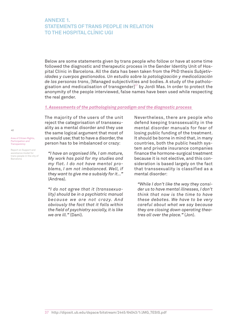# **ANNEXE 1. STATEMENTS OF TRANS PEOPLE IN RELATION TO THE HOSPITAL CLÍNIC UGI**

Below are some statements given by trans people who follow or have at some time followed the diagnostic and therapeutic process in the Gender Identity Unit of Hospital Clínic in Barcelona. All the data has been taken from the PhD thesis *Subjetividades y cuerpos gestionados. Un estudio sobre la patologización y medicalización de las personas trans*, [Managed subjectivities and bodies. A study of the pathologisation and medicalisation of transgender] $37$  by Jordi Mas. In order to protect the anonymity of the people interviewed, false names have been used while respecting the real gender.

## *1. Assessments of the pathologising paradigm and the diagnostic process*

The majority of the users of the unit reject the categorisation of transsexuality as a mental disorder and they use the same logical argument that most of us would use; that to have a disorder, the person has to be imbalanced or crazy:

*"I have an organised life, I am mature, My work has paid for my studies and my flat. I do not have mental problems, I am not imbalanced. Well, if they want to give me a subsidy for it…"* (Andrea).

*"I do not agree that it (transsexuality) should be in a psychiatric manual because we are not crazy. And obviously the fact that it falls within the field of psychiatry socially, it is like we are ill."* (Dani).

Nevertheless, there are people who defend keeping transsexuality in the mental disorder manuals for fear of losing public funding of the treatment. It should be borne in mind that, in many countries, both the public health system and private insurance companies finance the hormone-surgical treatment because it is not elective, and this consideration is based largely on the fact that transsexuality is classified as a mental disorder:

*"While I don't like the way they consider us to have mental illnesses, I don't think that now is the time to have these debates. We have to be very careful about what we say because they are closing down operating theatres all over the place."* (Jon).

Area of Citizen Rights, Participation and Transparency

 $40$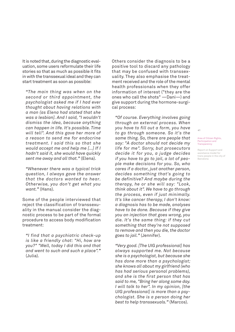It is noted that, during the diagnostic evaluation, some users reformulate their life stories so that as much as possible it fits in with the transsexual ideal and they can start treatment as soon as possible:

*"The main thing was when on the second or third appointment, the psychologist asked me if I had ever thought about having relations with a man (as Elena had stated that she was a lesbian]. And I said, "I wouldn't dismiss the idea, because anything can happen in life. It's possible. Time will tell". And this gave her more of a reason to send me for endocrine treatment. I said this so that she would accept me and help me […] If I hadn't said it, she would have quickly sent me away and all that."* (Elena).

*"Whenever there was a typical trick question, I always gave the answer that the doctors wanted to hear. Otherwise, you don't get what you want."* (Hans).

Some of the people interviewed that reject the classification of transsexuality in the manual consider the diagnostic process to be part of the formal procedure to access body modification treatment:

*"I find that a psychiatric check-up is like a friendly chat: "Hi, how are you?" "Well, today I did this and that and went to such and such a place"."* (Julia).

Others consider the diagnosis to be a positive tool to discard any pathology that may be confused with transsexuality. They also emphasise the treatment received and the role of the mental health professionals when they offer information of interest ("they are the ones who call the shots" —Dani—) and give support during the hormone-surgical process:

*"Of course. Everything involves going through an external process. When you have to fill out a form, you have to go through someone. So it's the same thing. So, there are people that say: "A doctor should not decide my life for me". Sorry, but prosecutors decide it for you, a judge decides if you have to go to jail, a lot of people make decisions for you. So, who cares if a doctor, just another person, decides something that's going to be definitive? And maybe during the therapy, he or she will say: "Look, think about it". We have to go through the process, even if just minimally. It's like cancer therapy, I don't know: a diagnosis has to be made, analyses have to be done. Because if they give you an injection that goes wrong, you die. It's the same thing: if they cut something that they're not supposed to remove and then you die, the doctor goes to jail."* (Jennifer).

*"Very good. [The UIG professional] has always supported me. Not because she is a psychologist, but because she has done more than a psychologist; she knows all about my girlfriend (who has had serious personal problems), and she is the first person that has said to me, "Bring her along some day. I will talk to her". In my opinion, [the UIG professional] is more than a psychologist. She is a person doing her best to help transsexuals."* (Marcos).

41

### Area of Citizen Rights, Participation and Transparency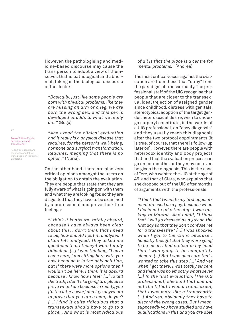However, the pathologising and medicine-based discourse may cause the trans person to adopt a view of themselves that is pathological and abnormal, taking in the biological discourse of the doctor:

*"Basically, just like some people are born with physical problems, like they are missing an arm or a leg, we are born the wrong sex, and this sex is developed at odds to what we really are."* (Bego).

*"And I read the clinical evaluation and it really is a physical disease that requires, for the person's well-being, hormone and surgical transformation. Requires, meaning that there is no option."* (Núria).

On the other hand, there are also very critical opinions amongst the users on the obligation to obtain the evaluation. They are people that state that they are fully aware of what is going on with them and what they are looking for, so they are disgusted that they have to be examined by a professional and prove their true feelings:

*"I think it is absurd, totally absurd, because I have always been clear about this. I don't think that I need to be, how should I put it, analysed. I often felt analysed. They asked me questions that I thought were totally ridiculous […] I was thinking, "I have come here, I am sitting here with you now because it is the only solution, but if there were more options then I wouldn't be here. I think it is absurd because I know how I feel" […] To tell the truth, I don't like going to a place to prove what I am because in reality, you [to the interviewer] don't go anywhere to prove that you are a man, do you? […] I find it quite ridiculous that a transsexual should have to go to a place… And what is most ridiculous*  *of all is that the place is a centre for mental problems."* (Andrea).

The most critical voices against the evaluation are from those that "stray" from the paradigm of transsexuality. The professional staff of the UIG recognise that people that are closer to the transsexual ideal (rejection of assigned gender since childhood, distress with genitals, stereotypical adoption of the target gender, heterosexual desire, wish to undergo surgery) constitute, in the words of a UIG professional, an "easy diagnosis" and they usually reach this diagnosis after the two protocol appointments (it is true, of course, that there is follow-up later on). However, there are people with heterodox identity and body projects that find that the evaluation process can go on for months, or they may not even be given the diagnosis. This is the case of Tere, who went to the UIG at the age of 45, and that of Clara, who explains that she dropped out of the UIG after months of arguments with the professionals:

*"I think that I went to my first appointment dressed as a guy, because when I decided to take the step, I was talking to Montse. And I said, "I think that I will go dressed as a guy on the first day so that they don't confuse me for a transvestite" […] I was shocked when I got to the Clínic because I honestly thought that they were going to be nicer. I had it clear in my head that I was going to be completely sincere […] But I was also sure that I wanted to take this step […] And yet when I got there, I was totally sincere and there was no empathy whatsoever […] In the first evaluation, [The UIG professional] she said that she did not think that I was a transsexual, that I was more like a transvestite […] And yes, obviously they have to discard the wrong cases. But I mean, supposedly you have studied and have qualifications in this and you are able* 

 $42$ 

Area of Citizen Rights, Participation and Transparency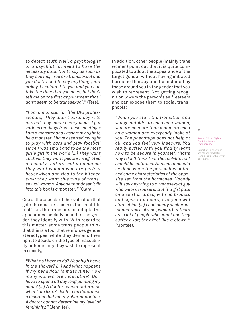*to detect stuff. Well, a psychologist or a psychiatrist need to have the necessary data. Not to say as soon as they see me, "You are transsexual and you don't need to say anything", But crikey, I explain it to you and you can take the time that you need, but don't tell me on the first appointment that I don't seem to be transsexual."* (Tere).

*"I am a monster for [the UIG professionals]. They didn't quite say it to me, but they made it very clear. I got various readings from these meetings: I am a monster and I assert my right to be a monster. I have asserted my right to play with cars and play football since I was small and to be the most girlie girl in the world […] They want clichés; they want people integrated in society that are not a nuisance; they want women who are perfect housewives and tied to the kitchen sink; they want this type of transsexual woman. Anyone that doesn't fit into this box is a monster."* (Clara).

One of the aspects of the evaluation that gets the most criticism is the "real-life test", i.e. the trans person adopts the appearance socially bound to the gender they identify with. With regard to this matter, some trans people think that this is a tool that reinforces gender stereotypes, while they demand their right to decide on the type of masculinity or femininity they wish to represent in society,

*"What do I have to do? Wear high heels in the shower? […] And what happens if my behaviour is masculine? How many women are masculine? Do I have to spend all day long painting my nails? […] A doctor cannot determine what I am like. A doctor can determine a disorder, but not my characteristics. A doctor cannot determine my level of femininity."* (Jennifer).

In addition, other people (mainly trans women) point out that it is quite complicated to adopt the appearance of the target gender without having initiated hormone therapy and be included by those around you in the gender that you wish to represent. Not getting recognition lowers the person's self-esteem and can expose them to social transphobia:

*"When you start the transition and you go outside dressed as a women, you are no more than a man dressed as a woman and everybody looks at you. The phenotype does not help at all, and you feel very insecure. You really suffer until you finally learn how to be secure in yourself. That's why I don't think that the real-life test should be enforced. At most, it should be done when the person has obtained some characteristics of the opposite sex from the hormones. Nobody will say anything to a transsexual guy who wears trousers. But if a girl puts on a skirt or dress, with no breasts and signs of a beard, everyone will stare at her […] I had plenty of character and was a strong person, but there are a lot of people who aren't and they suffer a lot; they feel like a clown."* (Montse).

43

### Area of Citizen Rights, Participation and Transparency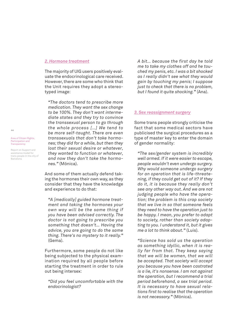## *2. Hormone treatment*

The majority of UIG users positively evaluate the endocrinological care received. However, there are some who think that the Unit requires they adopt a stereotyped image:

*"The doctors tend to prescribe more medication. They want the sex change to be 100%. They don't want intermediate states and they try to convince the transsexual person to go through the whole process […] We tend to be more self-taught. There are even transsexuals that don't take hormones; they did for a while, but then they lost their sexual desire or whatever, they wanted to function or whatever, and now they don't take the hormones."* (Mónica).

And some of them actually defend taking the hormones their own way, as they consider that they have the knowledge and experience to do that:

*"A [medically] guided hormone treatment and taking the hormones your own way will be the same thing if you have been advised correctly. The doctor is not going to prescribe you something that doesn't… Having the advice, you are going to do the same thing. There's no mystery to it really."* (Gema).

Furthermore, some people do not like being subjected to the physical examination required by all people before starting the treatment in order to rule out being intersex:

*"Did you feel uncomfortable with the endocrinologist?*

*A bit… because the first day he told me to take my clothes off and he touched my penis, etc. I was a bit shocked as I really didn't see what they would gain by touching my penis; I suppose just to check that there is no problem, but I found it quite shocking."* (Ana).

## *3. Sex reassignment surgery*

Some trans people strongly criticise the fact that some medical sectors have publicised the surgical procedures as a type of master key to enter the domain of gender normality:

*"The sex/gender system is incredibly well armed. If it were easier to escape, people wouldn't even undergo surgery. Why would someone undergo surgery for an operation that is life-threatening, if they could get out of it? If they do it, it is because they really don't see any other way out. And we are not judging people who have the operation; the problem is this crap society that we live in so that someone feels they need to have the operation just to be happy. I mean, you prefer to adapt to society, rather than society adapting to you. I understand it, but it gives me a lot to think about."* (Luis).

*"Science has sold us the operation as something idyllic, when it is really far from that. They keep saying that we will be women, that we will be accepted. That society will accept you because you have been castrated is a lie, it's nonsense. I am not against the operation, but I recommend a trial period beforehand, a sex trial period. It is necessary to have sexual relations first to realise that the operation is not necessary."* (Mónica).

44

Area of Citizen Rights, Participation and Transparency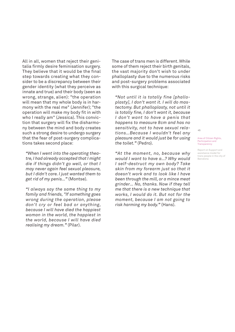All in all, women that reject their genitalia firmly desire feminisation surgery. They believe that it would be the final step towards creating what they consider to be a discrepancy between their gender identity (what they perceive as innate and true) and their body (seen as wrong, strange, alien): "the operation will mean that my whole body is in harmony with the real me" (Jennifer); "the operation will make my body fit in with who I really am" (Jessica). This conviction that surgery will fix the disharmony between the mind and body creates such a strong desire to undergo surgery that the fear of post-surgery complications takes second place:

*"When I went into the operating theatre, I had already accepted that I might die if things didn't go well, or that I may never again feel sexual pleasure, but I didn't care. I just wanted them to get rid of my penis…"* (Montse).

*"I always say the same thing to my family and friends, "If something goes wrong during the operation, please don't cry or feel bad or anything, because I will have died the happiest woman in the world, the happiest in the world, because I will have died realising my dream."* (Pilar).

The case of trans men is different. While some of them reject their birth genitals, the vast majority don't wish to under phalloplasty due to the numerous risks and post-surgery problems associated with this surgical technique:

*"Not until it is totally fine [phalloplasty], I don't want it. I will do mastectomy. But phalloplasty, not until it is totally fine, I don't want it, because I don't want to have a penis that happens to measure 8cm and has no sensitivity, not to have sexual relations…Because I wouldn't feel any pleasure and it would just be for using the toilet."* (Pedro).

*"At the moment, no, because why would I want to have a…? Why would I self-destruct my own body? Take skin from my forearm just so that it doesn't work and to look like I have been through the mill, or a mince meat grinder… No, thanks. Now if they tell me that there is a new technique that works, I would do it. But not for the moment, because I am not going to risk harming my body."* (Hans).

45

### Area of Citizen Rights, Participation and Transparency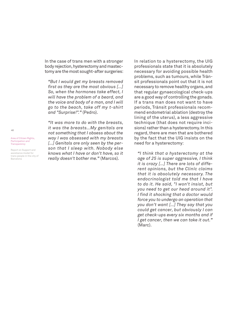In the case of trans men with a stronger body rejection, hysterectomy and mastectomy are the most sought-after surgeries:

*"But I would get my breasts removed first as they are the most obvious […] So, when the hormones take effect, I will have the problem of a beard, and the voice and body of a man, and I will go to the beach, take off my t-shirt and "Surprise!"."* (Pedro).

*"It was more to do with the breasts, it was the breasts…My genitals are not something that I obsess about the way I was obsessed with my breasts […] Genitals are only seen by the person that I sleep with. Nobody else knows what I have or don't have, so it really doesn't bother me."* (Marcos).

In relation to a hysterectomy, the UIG professionals state that it is absolutely necessary for avoiding possible health problems, such as tumours, while Trànsit professionals point out that it is not necessary to remove healthy organs, and that regular gynaecological check-ups are a good way of controlling the gonads. If a trans man does not want to have periods, Trànsit professionals recommend endometrial ablation (destroy the lining of the uterus), a less aggressive technique (that does not require incisions) rather than a hysterectomy. In this regard, there are men that are bothered by the fact that the UIG insists on the need for a hysterectomy:

*"I think that a hysterectomy at the age of 25 is super aggressive, I think it is crazy […] There are lots of different opinions, but the Cliníc claims that it is absolutely necessary. The endocrinologist told me that I have to do it. He said, "I won't insist, but you need to get our head around it". I find it shocking that a doctor would force you to undergo an operation that you don't want […] They say that you could get cancer, but obviously I can get check-ups every six months and if I get cancer, then we can take it out."* (Marc).

46

Area of Citizen Rights, Participation and Transparency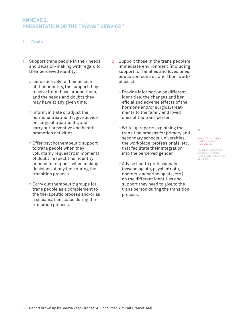# **ANNEXE 2. PRESENTATION OF THE TRÀNSIT SERVICE**<sup>38</sup>

# **1. Goals**

- **1.** Support trans people in their needs and decision-making with regard to their perceived identity:
	- » Listen actively to their account of their identity, the support they receive from those around them, and the needs and doubts they may have at any given time.
	- » Inform, initiate or adjust the hormone treatments; give advice on surgical treatments; and carry out preventive and health promotion activities.
	- » Offer psychotherapeutic support to trans people when they voluntarily request it: in moments of doubt, respect their identity or need for support when making decisions at any time during the transition process.
	- » Carry out therapeutic groups for trans people as a complement to the therapeutic process and/or as a socialisation space during the transition process.
- **2.** Support those in the trans people's immediate environment (including support for families and loved ones, education centres and their workplaces.)
	- » Provide information on different identities, the changes and beneficial and adverse effects of the hormone and/or surgical treatments to the family and loved ones of the trans person.
	- » Write up reports explaining the transition process for primary and secondary schools, universities, the workplace, professionals, etc. that facilitate their integration into the perceived gender.
	- » Advise health professionals (psychologists, psychiatrists, doctors, endocrinologists, etc.) on the different identities and support they need to give to the trans person during the transition process.

47

### Area of Citizen Rights, Participation and Transparency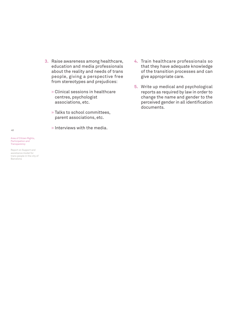- **3.** Raise awareness among healthcare, education and media professionals about the reality and needs of trans people, giving a perspective free from stereotypes and prejudices:
	- » Clinical sessions in healthcare centres, psychologist associations, etc.
	- » Talks to school committees, parent associations, etc.

» Interviews with the media.

- **4.** Train healthcare professionals so that they have adequate knowledge of the transition processes and can give appropriate care.
- **5.** Write up medical and psychological reports as required by law in order to change the name and gender to the perceived gender in all identification documents.

Area of Citizen Rights, Participation and

Transparency

48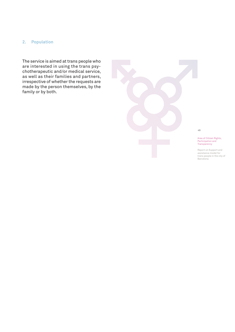# **2. Population**

The service is aimed at trans people who are interested in using the trans psychotherapeutic and/or medical service, as well as their families and partners, irrespective of whether the requests are made by the person themselves, by the family or by both.



49

Area of Citizen Rights,<br>Participation and<br>Transparency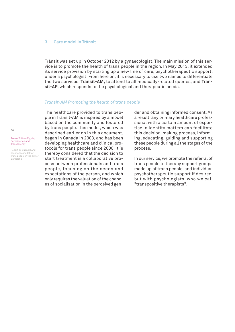# **3. Care model in Trànsit**

Trànsit was set up in October 2012 by a gynaecologist. The main mission of this service is to promote the health of trans people in the region. In May 2013, it extended its service provision by starting up a new line of care, psychotherapeutic support, under a psychologist. From here on, it is necessary to use two names to differentiate the two services: **Trànsit-AM,** to attend to all medically-related queries, and **Trànsit-AP**, which responds to the psychological and therapeutic needs.

## *Trànsit-AM Promoting the health of trans people*

The healthcare provided to trans people in Trànsit-AM is inspired by a model based on the community and fostered by trans people. This model, which was described earlier on in this document, began in Canada in 2003, and has been developing healthcare and clinical protocols for trans people since 2006. It is thereby considered that the decision to start treatment is a collaborative process between professionals and trans people, focusing on the needs and expectations of the person, and which only requires the valuation of the chances of socialisation in the perceived gender and obtaining informed consent. As a result, any primary healthcare professional with a certain amount of expertise in identity matters can facilitate this decision-making process, informing, educating, guiding and supporting these people during all the stages of the process.

In our service, we promote the referral of trans people to therapy support groups made up of trans people, and individual psychotherapeutic support if desired, but with psychologists, who we call "transpositive therapists".

 $50$ 

Area of Citizen Rights, Participation and **Transparency**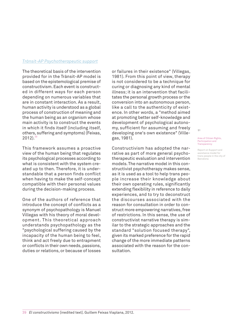# *Trànsit-AP Psychotherapeutic support*

The theoretical basis of the intervention provided for in the Trànsit-AP model is based on the epistemological premise of constructivism. Each event is constructed in different ways for each person depending on numerous variables that are in constant interaction. As a result, human activity is understood as a global process of construction of meaning and the human being as an organism whose main activity is to construct the events in which it finds itself (including itself, others, suffering and symptoms) (Feixas,  $2012$ ).<sup>3</sup>

This framework assumes a proactive view of the human being that regulates its psychological processes according to what is consistent with the system created up to then. Therefore, it is understandable that a person finds conflict when having to make the self-concept compatible with their personal values during the decision-making process.

One of the authors of reference that introduce the concept of conflicts as a synonym of psychopathology is Manuel Villegas with his theory of moral development. This theoretical approach understands psychopathology as the "psychological suffering caused by the incapacity of the human being to feel, think and act freely due to entrapment or conflicts in their own needs, passions, duties or relations, or because of losses or failures in their existence" (Villegas, 1981). From this point of view, therapy is not considered to be a technique for curing or diagnosing any kind of mental illness; it is an intervention that facilitates the personal growth process or the conversion into an autonomous person, like a call to the authenticity of existence. In other words, a "method aimed at promoting better self-knowledge and development of psychological autonomy, sufficient for assuming and freely developing one's own existence" (Villegas, 1981).

Constructivism has adopted the narrative as part of more general psychotherapeutic evaluation and intervention models. The narrative model in this constructivist psychotherapy makes sense, as it is used as a tool to help trans people increase their knowledge about their own operating rules, significantly extending flexibility in reference to daily experiences, and to try to deconstruct the discourses associated with the reason for consultation in order to construct more empowering narratives, free of restrictions. In this sense, the use of constructivist narrative therapy is similar to the strategic approaches and the standard "solution focused therapy", given its marked preference for the rapid change of the more immediate patterns associated with the reason for the consultation.

51

### Area of Citizen Rights, Participation and Transparency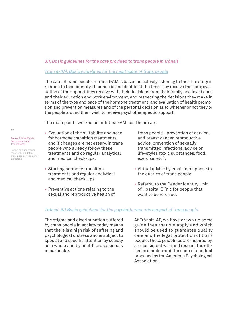# *3.1. Basic guidelines for the care provided to trans people in Trànsit*

# *Trànsit-AM. Basic guidelines for the healthcare of trans people*

The care of trans people in Trànsit-AM is based on actively listening to their life story in relation to their identity, their needs and doubts at the time they receive the care; evaluation of the support they receive with their decisions from their family and loved ones and their education and work environment, and respecting the decisions they make in terms of the type and pace of the hormone treatment; and evaluation of health promotion and prevention measures and of the personal decision as to whether or not they or the people around them wish to receive psychotherapeutic support.

The main points worked on in Trànsit-AM healthcare are:

- Evaluation of the suitability and need for hormone transition treatments, and if changes are necessary, in trans people who already follow these treatments and do regular analytical and medical check-ups.
- Starting hormone transition treatments and regular analytical and medical check-ups.
- Preventive actions relating to the sexual and reproductive health of

trans people - prevention of cervical and breast cancer, reproductive advice, prevention of sexually transmitted infections, advice on life-styles (toxic substances, food, exercise, etc.).

- Virtual advice by email in response to the queries of trans people.
- Referral to the Gender Identity Unit of Hospital Clínic for people that want to be referred.

# *Trànsit-AP. Basic guidelines for the psychotherapeutic support of trans people*

The stigma and discrimination suffered by trans people in society today means that there is a high risk of suffering and psychological distress and is subject to special and specific attention by society as a whole and by health professionals in particular.

At Trànsit-AP, we have drawn up some guidelines that we apply and which should be used to guarantee quality care and the legal protection of trans people. These guidelines are inspired by, are consistent with and respect the ethical principles and the code of conduct proposed by the American Psychological Association.

52

Area of Citizen Rights, Participation and Transparency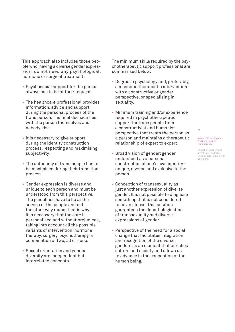This approach also includes those people who, having a diverse gender expression, do not need any psychological, hormone or surgical treatment.

- Psychosocial support for the person always has to be at their request.
- The healthcare professional provides information, advice and support during the personal process of the trans person. The final decision lies with the person themselves and nobody else.
- It is necessary to give support during the identity construction process, respecting and maximising subjectivity.
- The autonomy of trans people has to be maximised during their transition process.
- Gender expression is diverse and unique to each person and must be understood from this perspective. The guidelines have to be at the service of the people and not the other way round; that is why it is necessary that the care is personalised and without prejudices, taking into account all the possible variants of intervention: hormone therapy, surgery, psychotherapy, a combination of two, all or none.
- Sexual orientation and gender diversity are independent but interrelated concepts.

The minimum skills required by the psychotherapeutic support professional are summarised below:

- Degree in psychology and, preferably, a master in therapeutic intervention with a constructive or gender perspective, or specialising in sexuality.
- Minimum training and/or experience required in psychotherapeutic support for trans people from a constructivist and humanist perspective that treats the person as a person and maintains a therapeutic relationship of expert to expert.
- Broad vision of gender: gender understood as a personal construction of one's own identity unique, diverse and exclusive to the person.
- Conception of transsexuality as just another expression of diverse gender. It is not possible to diagnose something that is not considered to be an illness. This position guarantees the depathologisation of transsexuality and diverse expressions of gender.
- Perspective of the need for a social change that facilitates integration and recognition of the diverse genders as an element that enriches culture and society and allows us to advance in the conception of the human being.

53

### Area of Citizen Rights, Participation and Transparency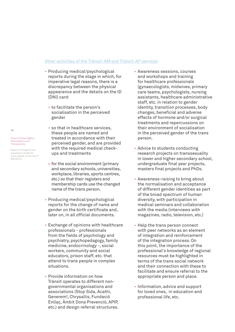# *Other activities of the Trànsit-AM and Trànsit-AP services*

- Producing medical/psychological reports during the stage in which, for imperative legal reasons, there is a discrepancy between the physical appearance and the details on the ID (DNI) card:
	- » to facilitate the person's socialisation in the perceived gender
- » so that in healthcare services, these people are named and treated in accordance with their perceived gender, and are provided with the required medical checkups and treatments
- » for the social environment (primary and secondary schools, universities, workplace, libraries, sports centres, etc.) so that their registers and membership cards use the changed name of the trans person.
- Producing medical/psychological reports for the change of name and gender on the birth certificate and, later on, in all official documents.
- Exchange of opinions with healthcare professionals - professionals from the fields of psychology and psychiatry, psychopedagogy, family medicine, endocrinology -, social workers, community and social educators, prison staff, etc. that attend to trans people in complex situations.
- Provide information on how Trànsit operates to different nongovernmental organisations and associations (Stop Sida, Acathi, Generem!, Chrysallis, Fundació Enllaç, Àmbit Dona Prevenció, APIP, etc.) and design referral structures.
- Awareness sessions, courses and workshops and training for healthcare professionals (gynaecologists, midwives, primary care teams, psychologists, nursing assistants, healthcare administrative staff, etc. in relation to gender identity, transition processes, body changes, beneficial and adverse effects of hormone and/or surgical treatments and repercussions on their environment of socialisation in the perceived gender of the trans person.
- Advice to students conducting research projects on transsexuality in lower and higher secondary school, undergraduate final year projects, masters final projects and PhDs.
- Awareness-raising to bring about the normalisation and acceptance of different gender identities as part of the broad spectrum of human diversity, with participation in medical seminars and collaboration with the media (interviews with magazines, radio, television, etc.)
- Help the trans person connect with peer networks as an element of integration and reinforcement of the integration process. On this point, the importance of the professional's knowledge of regional resources must be highlighted in terms of the trans social network and their connection with these to facilitate and ensure referral to the appropriate person and place.
- Information, advice and support for loved ones, in education and professional life, etc.

54

Area of Citizen Rights, Participation and Transparency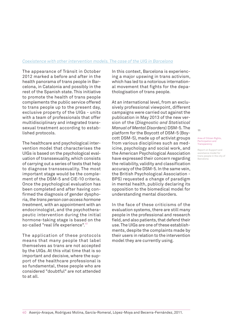# *Coexistence with other intervention models. The case of the UIG in Barcelona*

The appearance of Trànsit in October 2012 marked a before and after in the health panorama of trans people in Barcelona, in Catalonia and possibly in the rest of the Spanish state. This initiative to promote the health of trans people complements the public service offered to trans people up to the present day, exclusive property of the UIGs - units with a team of professionals that offer multidisciplinary and integrated transsexual treatment according to established protocols.

The healthcare and psychological intervention model that characterises the UIGs is based on the psychological evaluation of transsexuality, which consists of carrying out a series of tests that help to diagnose transsexuality. The most important stage would be the complement of the DSM-5 and CIE-10 criteria. Once the psychological evaluation has been completed and after having confirmed the diagnosis of gender dysphoria, *the trans person can access hormone treatment,* with an appointment with an endocrinologist, and the psychotherapeutic intervention during the initial hormone-taking stage is based on the so-called "real life experience".<sup>40</sup>

The application of these protocols means that many people that label themselves as trans are not accepted by the UIGs. At this vital time that is so important and decisive, where the support of the healthcare professional is so fundamental, these people who are considered "doubtful" are not attended to at all.

In this context, Barcelona is experiencing a major upswing in trans activism, which has led to a notorious international movement that fights for the depathologisation of trans people.

At an international level, from an exclusively professional viewpoint, different campaigns were carried out against the publication in May 2013 of the new version of the (*Diagnostic and Statistical Manual of Mental Disorders*) DSM-5. The platform for the Boycott of DSM-5 (Boycott DSM-5), made up of activist groups from various disciplines such as medicine, psychology and social work, and the American Psychological Association have expressed their concern regarding the reliability, validity and classification accuracy of the DSM-5. In the same vein, the British Psychological Association - BPS) requested a change of paradigm in mental health, publicly declaring its opposition to the biomedical model for understanding mental disorders.

In the face of these criticisms of the evaluation systems, there are still many people in the professional and research field, and also patients, that defend their use. The UIGs are one of these establishments, despite the complaints made by their users in relation to the intervention model they are currently using.

55

Area of Citizen Rights, Participation and Transparency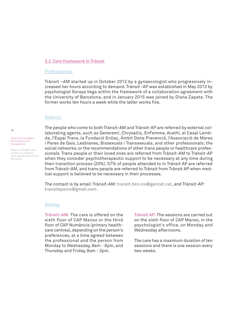## *3.2 Care framework in Trànsit*

### *Professionals:*

Trànsit –AM started up in October 2012 by a gynaecologist who progressively increased her hours according to demand. Trànsit -AP was established in May 2013 by psychologist Soraya Vega within the framework of a collaboration agreement with the University of Barcelona, and in January 2015 was joined by Diana Zapata. The former works ten hours a week while the latter works five.

### *Referral:*

Area of Citizen Rights, Participation and **Transparency** 

Report on Support and assistance model for trans people in the city of Barcelona

The people who come to both Trànsit-AM and Trànsit-AP are referred by external collaborating agents, such as Generem!, Chrysallis, EnFemme, Acathi, el Casal Lambda, l'Espai Trans, la Fundació Enllaç, Àmbit Dona Prevenció, l'Associació de Mares i Pares de Gais, Lesbianes, Bissexuals i Transsexuals, and other professionals; the social networks; or the recommendations of other trans people or healthcare professionals. Trans people or their loved ones are referred from Trànsit-AM to Trànsit-AP when they consider psychotherapeutic support to be necessary at any time during their transition process (20%). 57% of people attended to in Trànsit AP are referred from Trànsit-AM, and trans people are referred to Trànsit from Trànsit AP when medical support is believed to be necessary in their processes.

The contact is by email: Trànsit-AM: transit.bsn.ics@gencat.cat, and Trànsit-AP: transitapsico@gmail.com.

## *Setting:*

**Trànsit-AM:** The care is offered on the sixth floor of CAP Manso or the third floor of CAP Numància (primary healthcare centres), depending on the person's preferences, at a time agreed between the professional and the person from Monday to Wednesday, 8am - 8pm, and Thursday and Friday, 8am - 3pm.

**Trànsit AP:** The sessions are carried out on the sixth floor of CAP Manso, in the psychologist's office, on Monday and Wednesday afternoons.

The care has a maximum duration of ten sessions and there is one session every two weeks.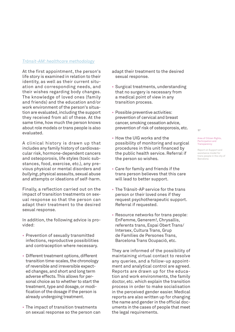# *Trànsit-AM: healthcare methodology*

At the first appointment, the person's life story is examined in relation to their identity, as well as their current situation and corresponding needs, and their wishes regarding body changes. The knowledge of loved ones (family and friends) and the education and/or work environment of the person's situation are evaluated, including the support they received from all of these. At the same time, how much the person knows about role models or trans people is also evaluated.

A clinical history is drawn up that includes any family history of cardiovascular risk, hormone-dependent cancers and osteoporosis, life styles (toxic substances, food, exercise, etc.), any previous physical or mental disorders and *bullying*, physical assaults, sexual abuse and attempts or ideations of self-harm.

Finally, a reflection carried out on the impact of transition treatments on sexual response so that the person can adapt their treatment to the desired sexual response.

In addition, the following advice is provided:

- Prevention of sexually transmitted infections, reproductive possibilities and contraception where necessary.
- Different treatment options, different transition time-scales, the chronology of reversible and irreversible expected changes, and short and long term adverse effects. This allows for personal choice as to whether to start the treatment, type and dosage, or modification of the dosage if the person is already undergoing treatment.
- The impact of transition treatments on sexual response so the person can
- adapt their treatment to the desired sexual response.
- Surgical treatments, understanding that no surgery is necessary from a medical point of view in any transition process.
- Possible preventive activities: prevention of cervical and breast cancer, smoking cessation advice, prevention of risk of osteoporosis, etc.
- How the UIG works and the possibility of monitoring and surgical procedures in this unit financed by the public health service. Referral if the person so wishes.
- Care for family and friends if the trans person believes that this care will lead to better support.
- The Trànsit-AP service for the trans person or their loved ones if they request psychotherapeutic support. Referral if requested.
- Resource networks for trans people: EnFemme, Generem!, Chrysallis, referents trans, Espai Obert Trans/ Intersex, Cultura Trans, Grup de Famílies de Persones Trans, Barcelona Trans Ocupació, etc.

They are informed of the possibility of maintaining virtual contact to resolve any queries, and a follow-up appointment and analytical control are agreed. Reports are drawn up for the education and work environments, the family doctor, etc. which explain the transition process in order to make socialisation in the perceived gender easier. Medical reports are also written up for changing the name and gender in the official documents in the cases of people that meet the legal requirements.

57

### Area of Citizen Rights, Participation and Transparency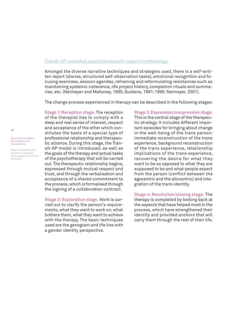## *Trànsit-AP: individual psychotherapeutic support methodology*

Amongst the diverse narrative techniques and strategies used, there is a self-written report (diaries, structured self-observation tasks), emotional recognition and focusing exercises, session agendas, reframing and reformulating resistances such as maintaining systemic coherence, life project history, completion rituals and summaries, etc. (Neimeyer and Mahoney, 1995; Guidano, 1991; 1995; Neimeyer, 2001).

The change process experienced in therapy can be described in the following stages:

**Stage 1: Reception stage.** The reception of the therapist has to comply with a deep and real sense of interest, respect and acceptance of the other which constitutes the basis of a special type of professional relationship and therapeutic alliance. During this stage, the Trànsit-AP model is introduced, as well as the goals of the therapy and actual tasks of the psychotherapy that will be carried out. The therapeutic relationship begins, expressed through mutual respect and trust, and through the verbalisation and acceptance of a shared commitment to the process, which is formalised through the signing of a collaboration contract.

**Stage 2: Exploration stage.** Work is carried out to clarify the person's requirements, what they want to work on, what bothers them, what they want to achieve with the therapy. The basic techniques used are the genogram and life line with a gender identity perspective.

**Stage 3: Expression/compression stage.** This is the central stage of the therapeutic strategy. It includes different important episodes for bringing about change in the well-being of the trans person: immediate reconstruction of the trans experience, background reconstruction of the trans experience, relationship implications of the trans experience, recovering the desire for what they want to be as opposed to what they are supposed to be and what people expect from the person (conflict between the egocentric and the allocentric) and integration of the trans identity.

**Stage 4: Resolution/closing stage.** The therapy is completed by looking back at the aspects that have helped most in the process, which have strengthened their identity and provided anchors that will carry them through the rest of their life.

58

Area of Citizen Rights, Participation and **Transparency**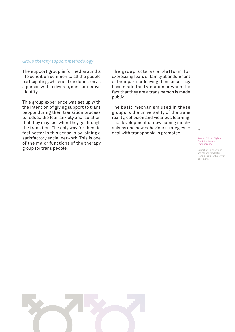# *Group therapy support methodology*

The support group is formed around a life condition common to all the people participating, which is their definition as a person with a diverse, non-normative identity.

This group experience was set up with the intention of giving support to trans people during their transition process to reduce the fear, anxiety and isolation that they may feel when they go through the transition. The only way for them to feel better in this sense is by joining a satisfactory social network. This is one of the major functions of the therapy group for trans people.

The group acts as a platform for expressing fears of family abandonment or their partner leaving them once they have made the transition or when the fact that they are a trans person is made public.

The basic mechanism used in these groups is the universality of the trans reality, cohesion and vicarious learning. The development of new coping mechanisms and new behaviour strategies to deal with transphobia is promoted.

59

### Area of Citizen Rights, Participation and Transparency

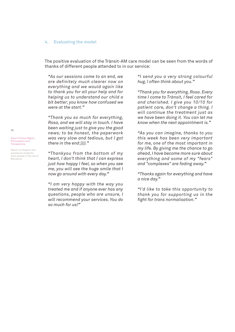## **4. Evaluating the model**

The positive evaluation of the Trànsit-AM care model can be seen from the words of thanks of different people attended to in our service:

*"As our sessions come to an end, we are definitely much clearer now on everything and we would again like to thank you for all your help and for helping us to understand our child a bit better; you know how confused we were at the start."*

*"Thank you so much for everything, Rosa, and we will stay in touch. I have been waiting just to give you the good news; to be honest, the paperwork was very slow and tedious, but I got there in the end:))))."*

*"Thankyou from the bottom of my heart, I don't think that I can express just how happy I feel, so when you see me, you will see the huge smile that I now go around with every day."*

*"I am very happy with the way you treated me and if anyone ever has any questions, people who are unsure, I will recommend your services. You do so much for us!"*

*"I send you a very strong colourful hug, I often think about you."*

*"Thank you for everything, Rosa. Every time I come to Trànsit, I feel cared for and cherished. I give you 10/10 for patient care, don't change a thing. I will continue the treatment just as we have been doing it. You can let me know when the next appointment is."*

*"As you can imagine, thanks to you this week has been very important for me, one of the most important in my life. By giving me the chance to go ahead, I have become more sure about everything and some of my "fears" and "complexes" are fading away."*

*"Thanks again for everything and have a nice day."*

*"I'd like to take this opportunity to thank you for supporting us in the fight for trans normalisation."*

 $60$ 

Area of Citizen Rights, Participation and Transparency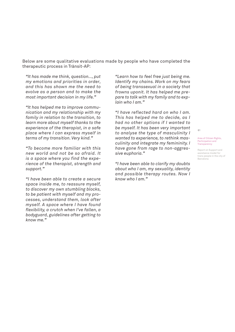Below are some qualitative evaluations made by people who have completed the therapeutic process in Trànsit-AP:

*"It has made me think, question…, put my emotions and priorities in order, and this has shown me the need to evolve as a person and to make the most important decision in my life."*

*"It has helped me to improve communication and my relationship with my family in relation to the transition, to learn more about myself thanks to the experience of the therapist, in a safe place where I can express myself in terms of my transition. Very kind."*

*"To become more familiar with this new world and not be so afraid. It is a space where you find the experience of the therapist, strength and support."*

*"I have been able to create a secure space inside me, to reassure myself, to discover my own stumbling blocks, to be patient with myself and my processes, understand them, look after myself. A space where I have found flexibility, a crutch when I've fallen, a bodyguard, guidelines after getting to know me."*

*"Learn how to feel free just being me. Identify my chains. Work on my fears of being transsexual in a society that frowns uponit. It has helped me prepare to talk with my family and to explain who I am."*

*"I have reflected hard on who I am. This has helped me to decide, as I had no other options if I wanted to be myself. It has been very important to analyse the type of masculinity I wanted to experience, to rethink masculinity and integrate my femininity. I have gone from rage to non-aggressive euphoria."*

*"I have been able to clarify my doubts about who I am, my sexuality, identity and possible therapy routes. Now I know who I am."*

61

### Area of Citizen Rights, Participation and Transparency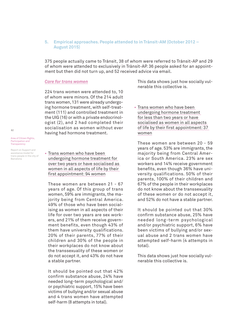# **5. Empirical approaches. People attended to in Trànsit-AM (October 2012 – August 2015)**

375 people actually came to Trànsit, 38 of whom were referred to Trànsit-AP and 29 of whom were attended to exclusively in Trànsit-AP. 36 people asked for an appointment but then did not turn up, and 52 received advice via email.

### *Care for trans women*

224 trans women were attended to, 10 of whom were minors. Of the 214 adult trans women, 131 were already undergoing hormone treatment, with self-treatment (111) and controlled treatment in the UIG (16) or with a private endocrinologist (2), and 2 had completed their socialisation as women without ever having had hormone treatment.

Area of Citizen Rights, Participation and Transparency

62

Report on Support and assistance model for trans people in the city of Barcelona

**•** Trans women who have been undergoing hormone treatment for over two years or have socialised as women in all aspects of life by their first appointment: 94 women

These women are between 21 - 67 years of age. Of this group of trans women, 59% are immigrants, the majority being from Central America. 49% of those who have been socialising as women in all aspects of their life for over two years are sex workers, and 21% of them receive government benefits, even though 43% of them have university qualifications. 20% of their parents, 77% of their children and 30% of the people in their workplaces do not know about the transsexuality of these women or do not accept it, and 43% do not have a stable partner.

It should be pointed out that 42% confirm substance abuse, 24% have needed long-term psychological and/ or psychiatric support, 15% have been victims of bullying and/or sexual abuse and 4 trans women have attempted self-harm (8 attempts in total).

This data shows just how socially vulnerable this collective is.

**•** Trans women who have been undergoing hormone treatment for less than two years or have socialised as women in all aspects of life by their first appointment: 37 women

These women are between 20 - 59 years of age. 53% are immigrants, the majority being from Central America or South America. 23% are sex workers and 14% receive government benefits, even though 36% have university qualifications. 50% of their parents, 100% of their children and 67% of the people in their workplaces do not know about the transsexuality of these women or do not accept it, and 52% do not have a stable partner.

It should be pointed out that 30% confirm substance abuse, 25% have needed long-term psychological and/or psychiatric support, 6% have been victims of bullying and/or sexual abuse and 2 trans women have attempted self-harm (4 attempts in total).

This data shows just how socially vulnerable this collective is.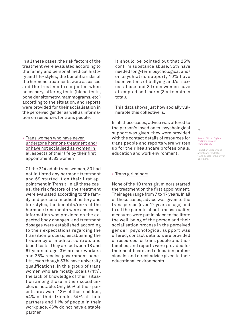In all these cases, the risk factors of the treatment were evaluated according to the family and personal medical history and life-styles, the benefits/risks of the hormone treatments were assessed and the treatment readjusted when necessary, offering tests (blood tests, bone densitometry, mammograms, etc.) according to the situation, and reports were provided for their socialisation in the perceived gender as well as information on resources for trans people.

**•** Trans women who have never undergone hormone treatment and/ or have not socialised as women in all aspects of their life by their first appointment: 83 women

Of the 214 adult trans women, 83 had not initiated any hormone treatment and 69 started it on their first appointment in Trànsit. In all these cases, the risk factors of the treatment were evaluated according to the family and personal medical history and life-styles, the benefits/risks of the hormone treatments were assessed, information was provided on the expected body changes, and treatment dosages were established according to their expectations regarding the transition process, establishing the frequency of medical controls and blood tests. They are between 18 and 67 years of age. 3% are sex workers and 25% receive government benefits, even though 53% have university qualifications. In this group of trans women who are mostly locals (71%), the lack of knowledge of their situation among those in their social circles is notable: Only 50% of their parents are aware, 13% of their children, 44% of their friends, 54% of their partners and 11% of people in their workplace. 46% do not have a stable partner.

It should be pointed out that 25% confirm substance abuse, 35% have needed long-term psychological and/ or psychiatric support, 10% have been victims of bullying and/or sexual abuse and 3 trans women have attempted self-harm (3 attempts in total).

This data shows just how socially vulnerable this collective is.

In all these cases, advice was offered to the person's loved ones, psychological support was given, they were provided with the contact details of resources for trans people and reports were written up for their healthcare professionals, education and work environment.

## **•** Trans girl minors

None of the 10 trans girl minors started the treatment on the first appointment. Their ages range from 7 to 17 years. In all of these cases, advice was given to the trans person (over 12 years of age) and to all the parents about transsexuality; measures were put in place to facilitate the well-being of the person and their socialisation process in the perceived gender; psychological support was offered; contact details were provided of resources for trans people and their families; and reports were provided for their healthcare and education professionals, and direct advice given to their educational environments.

63

### Area of Citizen Rights, Participation and Transparency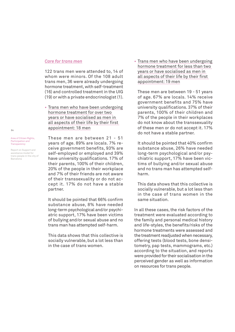## *Care for trans men*

122 trans men were attended to, 14 of whom were minors. Of the 108 adult trans men, 36 were already undergoing hormone treatment, with self-treatment (16) and controlled treatment in the UIG (19) or with a private endocrinologist (1).

**•** Trans men who have been undergoing hormone treatment for over two years or have socialised as men in all aspects of their life by their first appointment: 18 men

These men are between 21 - 51 years of age. 89% are locals. 7% receive government benefits, 93% are self-employed or employed and 39% have university qualifications. 17% of their parents, 100% of their children, 20% of the people in their workplace and 7% of their friends are not aware of their transsexuality or do not accept it. 17% do not have a stable partner.

It should be pointed that 66% confirm substance abuse, 8% have needed long-term psychological and/or psychiatric support, 17% have been victims of bullying and/or sexual abuse and no trans man has attempted self-harm.

This data shows that this collective is socially vulnerable, but a lot less than in the case of trans women.

**•** Trans men who have been undergoing hormone treatment for less than two years or have socialised as men in all aspects of their life by their first appointment: 19 men

These men are between 19 - 51 years of age. 67% are locals. 14% receive government benefits and 75% have university qualifications. 37% of their parents, 100% of their children and 7% of the people in their workplaces do not know about the transsexuality of these men or do not accept it. 17% do not have a stable partner.

It should be pointed that 40% confirm substance abuse, 26% have needed long-term psychological and/or psychiatric support, 17% have been victims of bullying and/or sexual abuse and no trans man has attempted selfharm.

This data shows that this collective is socially vulnerable, but a lot less than in the case of trans women in the same situation.

In all these cases, the risk factors of the treatment were evaluated according to the family and personal medical history and life-styles, the benefits/risks of the hormone treatments were assessed and the treatment readjusted when necessary, offering tests (blood tests, bone densitometry, pap tests, mammograms, etc.) according to the situation, and reports were provided for their socialisation in the perceived gender as well as information on resources for trans people.

64

Area of Citizen Rights, Participation and Transparency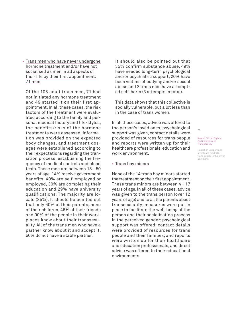**•** Trans men who have never undergone hormone treatment and/or have not socialised as men in all aspects of their life by their first appointment: 71 men

Of the 108 adult trans men, 71 had not initiated any hormone treatment and 49 started it on their first appointment. In all these cases, the risk factors of the treatment were evaluated according to the family and personal medical history and life-styles, the benefits/risks of the hormone treatments were assessed, information was provided on the expected body changes, and treatment dosages were established according to their expectations regarding the transition process, establishing the frequency of medical controls and blood tests. These men are between 18 - 50 years of age. 14% receive government benefits, 40% are self-employed or employed, 30% are completing their education and 29% have university qualifications. The majority are locals (85%). It should be pointed out that only 60% of their parents, none of their children, 46% of their friends and 90% of the people in their workplaces know about their transsexuality. All of the trans men who have a partner know about it and accept it. 50% do not have a stable partner.

It should also be pointed out that 35% confirm substance abuse, 49% have needed long-term psychological and/or psychiatric support, 20% have been victims of bullying and/or sexual abuse and 2 trans men have attempted self-harm (3 attempts in total).

This data shows that this collective is socially vulnerable, but a lot less than in the case of trans women.

In all these cases, advice was offered to the person's loved ones, psychological support was given, contact details were provided of resources for trans people and reports were written up for their healthcare professionals, education and work environment.

**•** Trans boy minors

None of the 14 trans boy minors started the treatment on their first appointment. These trans minors are between 4 - 17 years of age. In all of these cases, advice was given to the trans person (over 12 years of age) and to all the parents about transsexuality; measures were put in place to facilitate the well-being of the person and their socialisation process in the perceived gender; psychological support was offered; contact details were provided of resources for trans people and their families; and reports were written up for their healthcare and education professionals, and direct advice was offered to their educational environments.

65

### Area of Citizen Rights, Participation and Transparency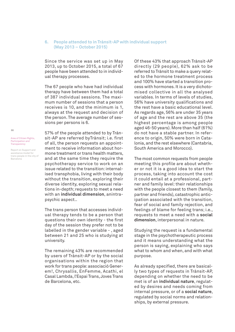# **6. People attended to in Trànsit-AP with individual support (May 2013 – October 2015)**

Since the service was set up in May 2013, up to October 2015, a total of 67 people have been attended to in individual therapy processes.

The 67 people who have had individual therapy have between them had a total of 387 individual sessions. The maximum number of sessions that a person receives is 10, and the minimum is 1, always at the request and decision of the person. The average number of sessions per persons is 6.

57% of the people attended to by Trànsit-AP are referred byTrànsit; i.e. first of all, the person requests an appointment to receive information about hormone treatment or trans health matters, and at the same time they require the psychotherapy service to work on an issue related to the transition: internalised transphobia, living with their body without the transition, exploring their diverse identity, exploring sexual relations in-depth; requests to meet a need with an **individual dimension**, anintrapsychic aspect..

The trans person that accesses individual therapy tends to be a person that questions their own identity - the first day of the session they prefer not to be labelled in the gender variable - , aged between 21 and 25 who is studying at university.

The remaining 43% are recommended by users of Trànsit-AP or by the social organisations within the region that work for trans people: associació Generem!, Chrysallis, EnFemme, Acathi, el Casal Lambda, l'Espai Trans, Joves Trans de Barcelona, etc.

Of these 43% that approach Trànsit-AP directly (29 people), 62% ask to be referred to Trànsit to make a query related to the hormone treatment process and 100% have started a transition process with hormones. It is a very dichotomised collective in all the analysed variables. In terms of levels of studies, 56% have university qualifications and the rest have a basic educational level. As regards age, 56% are under 35 years of age and the rest are above 35 (the highest percentage is among people aged 46-50 years). More than half (61%) do not have a stable partner. In reference to origin, 50% were born in Catalonia, and the rest elsewhere (Cantabria, South America and Morocco).

The most common requests from people meeting this profile are about whether or not it is a good idea to start the process, taking into account the cost it could entail at a professional, partner and family level: their relationships with the people closest to them (family, partner and friends), catastrophic anticipation associated with the transition, fear of social and family rejection, and feelings of blame for feeling trans; i.e., requests to meet a need with a **social dimension**, interpersonal in nature.

Studying the request is a fundamental stage in the psychotherapeutic process and it means understanding what the person is saying, explaining who says what to whom and when, and with what purpose.

As already specified, there are basically two types of requests in Trànsit-AP, depending on whether the need to be met is of an **individual nature**, regulated by desires and needs coming from internal pressure, or of a **social nature**, regulated by social norms and relationships, by external pressure.

66

Area of Citizen Rights, Participation and Transparency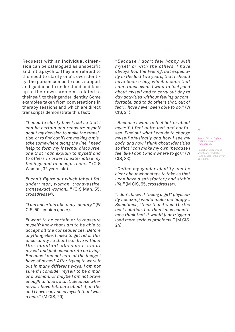Requests with an **individual dimension** can be catalogued as unspecific and intrapsychic. They are related to the need to clarify one's own identity: the person comes to seek support and guidance to understand and face up to their own problems related to their *self*, to their gender identity. Some examples taken from conversations in therapy sessions and which are direct transcripts demonstrate this fact:

*"I need to clarify how I feel so that I can be certain and reassure myself about my decision to make the transition, or to find out if I am making a mistake somewhere along the line. I need help to form my internal discourse, one that I can explain to myself and to others in order to externalise my feelings and to accept them…"* (CIS Woman, 32 years old).

*"I can't figure out which label I fall under: man, woman, transvestite, transsexual woman…"* (CIS Man, 55, *crossdresser*).

*"I am uncertain about my identity."* (W CIS, 50, lesbian *queer*).

*"I want to be certain or to reassure myself; know that I am to be able to accept all the consequences. Before anything else, I need to get rid of this uncertainty so that I can live without*   $this constant$  obsession about *myself and just concentrate on living. Because I am not sure of the image I have of myself. After trying to work it out in many different ways, I am not sure if I consider myself to be a man or a woman. Or maybe I am not brave enough to face up to it. Because whenever I have felt sure about it, in the end I have convinced myself that I was a man."* (M CIS, 29).

*"Because I don't feel happy with myself or with the others. I have always had the feeling, but especially in the last two years, that I should have been a boy, which means that I am transsexual. I want to feel good about myself and to carry out day to day activities without feeling uncomfortable, and to do others that, out of fear, I have never been able to do."* (W CIS, 21).

*"Because I want to feel better about myself. I feel quite lost and confused. Find out what I can do to change myself physically and how I see my body, and how I think about identities so that I can make my own (because I feel like I don't know where to go)."* (W CIS, 33).

*"Define my gender identity and be clear about what steps to take so that I can have a satisfactory and stable life."* (M CIS, 55, *crossdresser*).

*"I don't know if "being a girl" physically speaking would make me happy… Sometimes, I think that it would be the best solution, but then I also sometimes think that it would just trigger a load more serious problems."* (M CIS, 24).

67

### Area of Citizen Rights, Participation and Transparency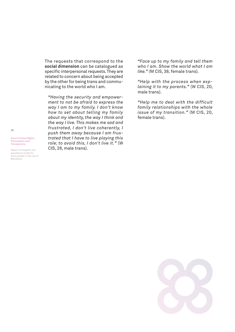The requests that correspond to the **social dimension** can be catalogued as specific interpersonal requests. They are related to concern about being accepted by the other for being trans and communicating to the world who I am.

*"Having the security and empowerment to not be afraid to express the way I am to my family. I don't know how to set about telling my family about my identity, the way I think and the way I live. This makes me sad and frustrated, I don't live coherently, I push them away because I am frustrated that I have to live playing this role; to avoid this, I don't live it."* (W CIS, 28, male trans).

*"Face up to my family and tell them who I am. Show the world what I am like." (*M CIS, 38, female trans).

*"Help with the process when explaining it to my parents."* (W CIS, 20, male trans).

*"Help me to deal with the difficult family relationships with the whole issue of my transition."* (M CIS, 20, female trans).

68

Area of Citizen Rights, Participation and Transparency

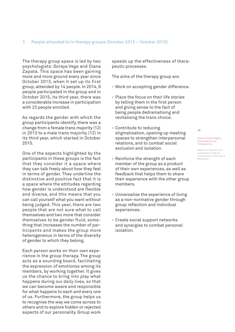## **7. People attended to in therapy groups (October 2013 – October 2015)**

The therapy group space is led by two psychologists: Soraya Vega and Diana Zapata. This space has been gaining more and more ground every year since October 2013, when it set up its first group, attended by 14 people. In 2014, 9 people participated in the group and in October 2015, its third year, there was a considerable increase in participation with 23 people enrolled.

As regards the gender with which the group participants identify, there was a change from a female trans majority (12) in 2013 to a male trans majority (12) in its third year, which started in October 2015.

One of the aspects highlighted by the participants in these groups is the fact that they consider it a space where they can talk freely about how they feel in terms of gender. They underline the distinctive and positive fact that it is a space where the attitudes regarding how gender is understood are flexible and diverse, and this means that you can call yourself what you want without being judged. This year, there are two people that are not sure what to call themselves and two more that consider themselves to be gender fluid, something that increases the number of participants and makes the group more heterogeneous in terms of the diversity of gender to which they belong.

Each person works on their own experience in the group therapy. The group acts as a sounding board, facilitating the expression of emotionss among its members, by working together. It gives us the chance to bring into play what happens during our daily lives, so that we can become aware and responsible for what happens to each and every one of us. Furthermore, the group helps us to recognise the way we come across to others and to explore hidden or rejected aspects of our personality. Group work speeds up the effectiveness of therapeutic processes.

The aims of the therapy group are:

- Work on accepting gender difference.
- Place the focus on their life stories by telling them in the first person and giving sense to the fact of being people dedramatising and revitalising the trans choice.
- Contribute to reducing stigmatisation, opening up meeting spaces to strengthen interpersonal relations, and to combat social exclusion and isolation.
- Reinforce the strength of each member of the group as a product of their own experiences, as well as feedback that helps them to share their experience with the other group members.
- Universalise the experience of living as a non-normative gender through group reflection and individual experiences.
- Create social support networks and synergies to combat personal isolation.

69

### Area of Citizen Rights, Participation and Transparency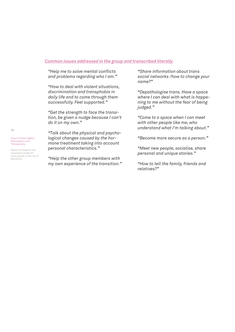## *Common issues addressed in the group and transcribed literally*

*"Help me to solve mental conflicts and problems regarding who I am."*

*"How to deal with violent situations, discrimination and transphobia in daily life and to come through them successfully. Feel supported."*

*"Get the strength to face the transition, be given a nudge because I can't do it on my own."*

*"Talk about the physical and psychological changes caused by the hormone treatment taking into account personal characteristics."*

*"Help the other group members with my own experience of the transition."*

*"Share information about trans social networks /how to change your name?"*

*"Depathologise trans. Have a space where I can deal with what is happening to me without the fear of being judged."*

*"Come to a space when I can meet with other people like me, who understand what I'm talking about."*

*"Become more secure as a person."*

*"Meet new people, socialise, share personal and unique stories."*

*"How to tell the family, friends and relatives?"*

### 70

Area of Citizen Rights, Participation and Transparency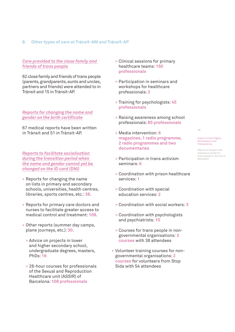# **8. Other types of care at Trànsit-AM and Trànsit-AP**

# *Care provided to the close family and friends of trans people*

62 close family and friends of trans people (parents, grandparents, aunts and uncles, partners and friends) were attended to in Trànsit and 15 in Trànsit-AP.

# *Reports for changing the name and gender on the birth certificate*

67 medical reports have been written in Trànsit and 51 in Trànsit-AP.

*Reports to facilitate socialisation during the transition period when the name and gender cannot yet be changed on the ID card (DNI)*

- Reports for changing the name on lists in primary and secondary schools, universities, health centres, libraries, sports centres, etc.: **38**.
- Reports for primary care doctors and nurses to facilitate greater access to medical control and treatment: **108**.
- Other reports (summer day camps, plane journeys, etc.): **30**.
	- » Advice on projects in lower and higher secondary school, undergraduate degrees, masters, PhDs: **16**
	- » 28-hour courses for professionals of the Sexual and Reproduction Healthcare unit (ASSIR) of Barcelona: **108 professionals**
- » Clinical sessions for primary healthcare teams: **150 professionals**
- » Participation in seminars and workshops for healthcare professionals: **2**
- » Training for psychologists: **45 professionals**
- » Raising awareness among school professionals: **85 professionals**
- » Media intervention: **6 magazines, 1 radio programme, 2 radio programmes and two documentaries**
- » Participation in trans activism seminars: **6**
- » Coordination with prison healthcare services: **1**
- » Coordination with special education services: **2**
- » Coordination with social workers: **3**
- » Coordination with psychologists and psychiatrists: **10**
- » Courses for trans people in nongovernmental organisations: **3 courses** with 38 attendees
- Volunteer training courses for nongovernmental organisations: **2 courses** for volunteers from Stop Sida with 54 attendees

71

### Area of Citizen Rights, Participation and Transparency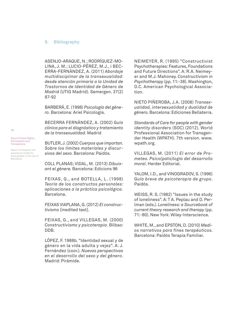# **9. Bibliography**

ASENJO-ARAQUE, N.; RODRÍGUEZ-MO-LINA, J. M.; LUCIO-PÉREZ, M.J., i BEC-ERRA-FERNÁNDEZ, A. (2011) *Abordaje multidisciplinar de la transexualidad: desde atención primaria a la Unidad de Trastornos de Identidad de Género de Madrid* (UTIG Madrid). Semergen. 37(2) 87-92

BARBERÁ, E. (1998) *Psicología del género*. Barcelona: Ariel Psicología.

BECERRA FERNÁNDEZ, A. (2002) *Guía clínica para el diagnóstico y tratamiento de la transexualidad*. Madrid

BUTLER, J. (2002) *Cuerpos que importan. Sobre los límites materiales y discursivos del sexo.* Barcelona: Paidós.

COLL PLANAS; VIDAL, M. (2013) *Dibuixant el gènere.* Barcelona: Edicions 96

FEIXAS, G., and BOTELLA, L. (1998) *Teoría de los constructos personales: aplicaciones a la práctica psicológica.* Barcelona.

FEIXAS VIAPLANA, G. (2012) *El constructivismo* [inedited text].

FEIXAS, G., and VILLEGAS, M. (2000) *Constructivismo y psicoterapia*. Bilbao: DDB.

LÓPEZ, F. 1988b. "Identidad sexual y de género en la vida adulta y vejez". A: J. Fernández (coor.). *Nuevas perspectivas en el desarrollo del sexo y del género*. Madrid: Pirámide.

NEIMEYER, R. (1995) "Constructivist Psychotherapies: Features, Foundations and Future Directions". A: R.A. Neimeyer and M.J. Mahoney. *Constructivism in Psychotherapy* (pp. 11:-38). Washington, D.C. American Psychological Association.

NIETO PIÑEROBA, J.A. (2008) *Transexualidad, intersexualidad y dualidad de género.* Barcelona: Ediciones Bellaterra.

*Standards of Care for people with gender identity disorders* (SOC) (2012). World Professional Association for Transgender Health (WPATH). 7th version. www. wpath.org.

VILLEGAS, M. (2011) *El error de Prometeo. Psico(pato)logía del desarrollo moral*. Herder Editorial.

YALOM, I.D., and VINOGRADOV, S. (1996) *Guía breve de psicoterapia de grupo*. Paidós.

WEISS, R. S. (1982) "Issues in the study of loneliness". A: T A. Peplau and D. Perlman (eds.). *Loneliness: a Sourcebook of current theory research and therapy* (pp. 71:-80). New York: Wiley-Interscience.

WHITE, M., and EPSTON, D. (2010) *Medios narrativos para fines terapéuticos.*  Barcelona: Paidós Terapia Familiar.

72

Area of Citizen Rights, Participation and Transparency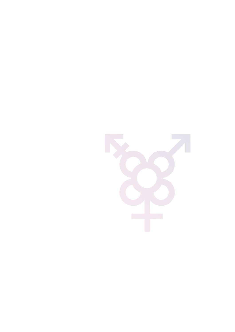